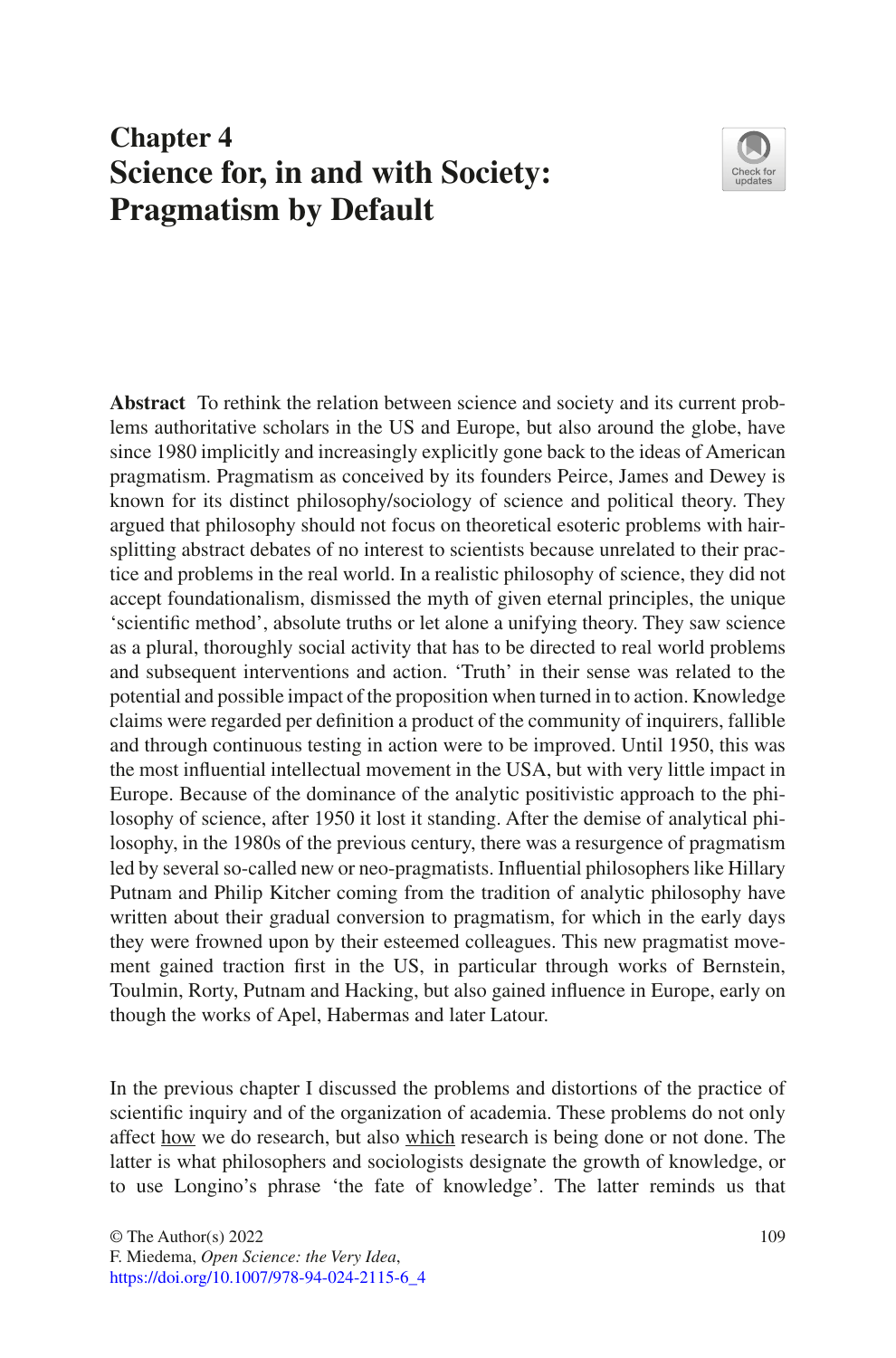# **Chapter 4 Science for, in and with Society: Pragmatism by Default**



**Abstract** To rethink the relation between science and society and its current problems authoritative scholars in the US and Europe, but also around the globe, have since 1980 implicitly and increasingly explicitly gone back to the ideas of American pragmatism. Pragmatism as conceived by its founders Peirce, James and Dewey is known for its distinct philosophy/sociology of science and political theory. They argued that philosophy should not focus on theoretical esoteric problems with hairsplitting abstract debates of no interest to scientists because unrelated to their practice and problems in the real world. In a realistic philosophy of science, they did not accept foundationalism, dismissed the myth of given eternal principles, the unique 'scientifc method', absolute truths or let alone a unifying theory. They saw science as a plural, thoroughly social activity that has to be directed to real world problems and subsequent interventions and action. 'Truth' in their sense was related to the potential and possible impact of the proposition when turned in to action. Knowledge claims were regarded per defnition a product of the community of inquirers, fallible and through continuous testing in action were to be improved. Until 1950, this was the most infuential intellectual movement in the USA, but with very little impact in Europe. Because of the dominance of the analytic positivistic approach to the philosophy of science, after 1950 it lost it standing. After the demise of analytical philosophy, in the 1980s of the previous century, there was a resurgence of pragmatism led by several so-called new or neo-pragmatists. Infuential philosophers like Hillary Putnam and Philip Kitcher coming from the tradition of analytic philosophy have written about their gradual conversion to pragmatism, for which in the early days they were frowned upon by their esteemed colleagues. This new pragmatist movement gained traction frst in the US, in particular through works of Bernstein, Toulmin, Rorty, Putnam and Hacking, but also gained infuence in Europe, early on though the works of Apel, Habermas and later Latour.

In the previous chapter I discussed the problems and distortions of the practice of scientifc inquiry and of the organization of academia. These problems do not only affect how we do research, but also which research is being done or not done. The latter is what philosophers and sociologists designate the growth of knowledge, or to use Longino's phrase 'the fate of knowledge'. The latter reminds us that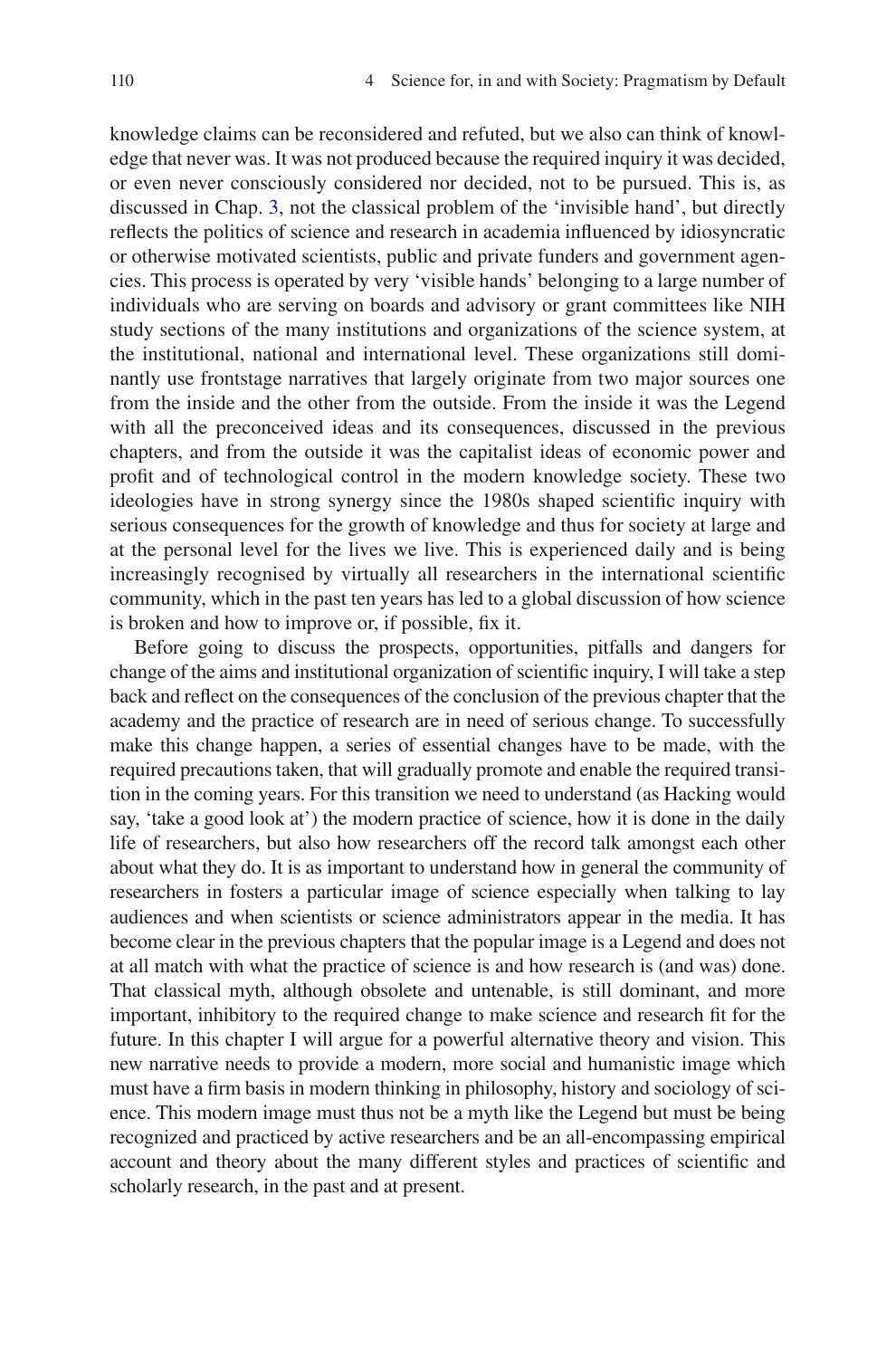knowledge claims can be reconsidered and refuted, but we also can think of knowledge that never was. It was not produced because the required inquiry it was decided, or even never consciously considered nor decided, not to be pursued. This is, as discussed in Chap. [3,](https://doi.org/10.1007/978-94-024-2115-6_3) not the classical problem of the 'invisible hand', but directly refects the politics of science and research in academia infuenced by idiosyncratic or otherwise motivated scientists, public and private funders and government agencies. This process is operated by very 'visible hands' belonging to a large number of individuals who are serving on boards and advisory or grant committees like NIH study sections of the many institutions and organizations of the science system, at the institutional, national and international level. These organizations still dominantly use frontstage narratives that largely originate from two major sources one from the inside and the other from the outside. From the inside it was the Legend with all the preconceived ideas and its consequences, discussed in the previous chapters, and from the outside it was the capitalist ideas of economic power and proft and of technological control in the modern knowledge society. These two ideologies have in strong synergy since the 1980s shaped scientifc inquiry with serious consequences for the growth of knowledge and thus for society at large and at the personal level for the lives we live. This is experienced daily and is being increasingly recognised by virtually all researchers in the international scientifc community, which in the past ten years has led to a global discussion of how science is broken and how to improve or, if possible, fx it.

Before going to discuss the prospects, opportunities, pitfalls and dangers for change of the aims and institutional organization of scientifc inquiry, I will take a step back and refect on the consequences of the conclusion of the previous chapter that the academy and the practice of research are in need of serious change. To successfully make this change happen, a series of essential changes have to be made, with the required precautions taken, that will gradually promote and enable the required transition in the coming years. For this transition we need to understand (as Hacking would say, 'take a good look at') the modern practice of science, how it is done in the daily life of researchers, but also how researchers off the record talk amongst each other about what they do. It is as important to understand how in general the community of researchers in fosters a particular image of science especially when talking to lay audiences and when scientists or science administrators appear in the media. It has become clear in the previous chapters that the popular image is a Legend and does not at all match with what the practice of science is and how research is (and was) done. That classical myth, although obsolete and untenable, is still dominant, and more important, inhibitory to the required change to make science and research ft for the future. In this chapter I will argue for a powerful alternative theory and vision. This new narrative needs to provide a modern, more social and humanistic image which must have a frm basis in modern thinking in philosophy, history and sociology of science. This modern image must thus not be a myth like the Legend but must be being recognized and practiced by active researchers and be an all-encompassing empirical account and theory about the many different styles and practices of scientifc and scholarly research, in the past and at present.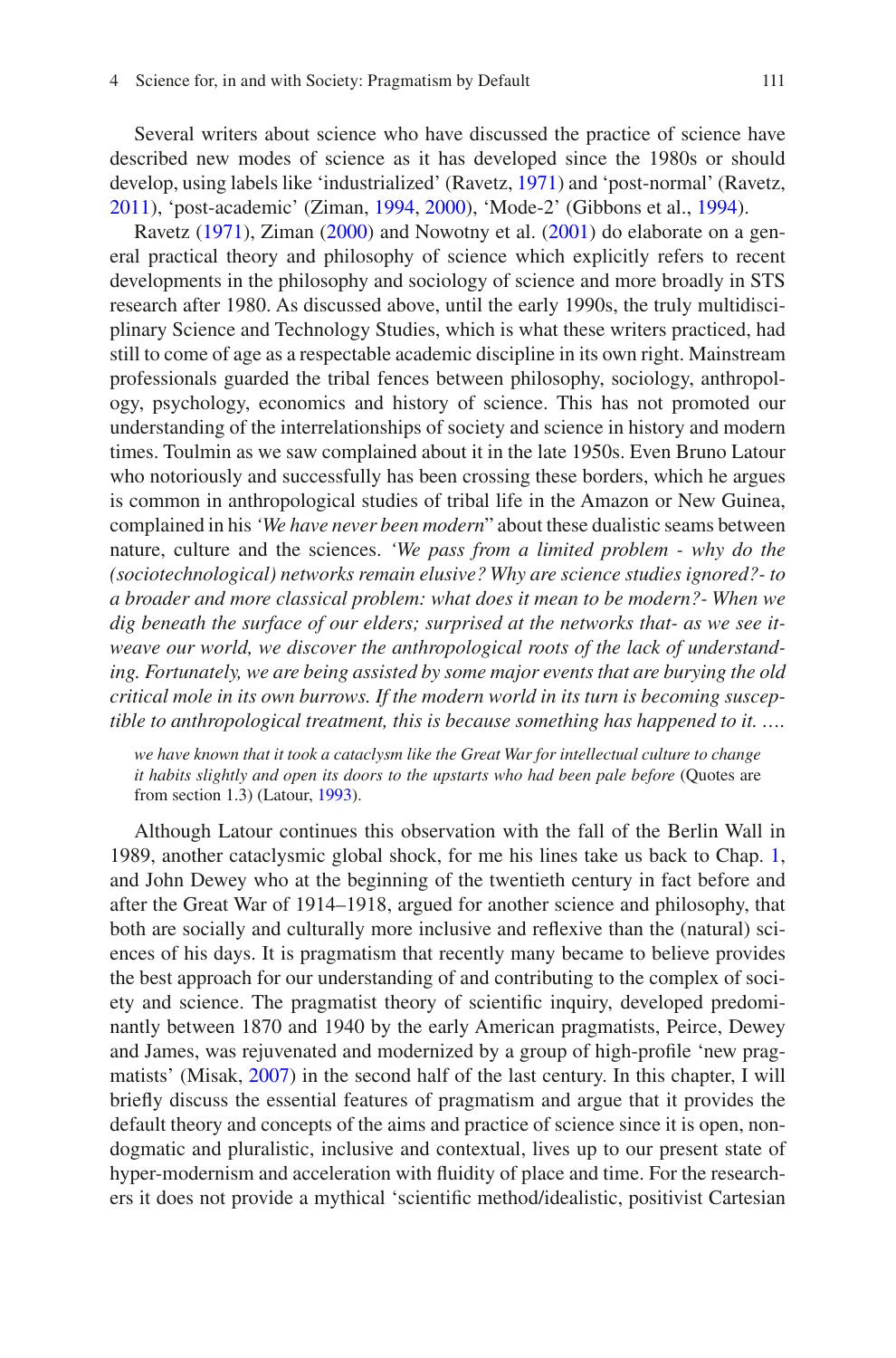Several writers about science who have discussed the practice of science have described new modes of science as it has developed since the 1980s or should develop, using labels like 'industrialized' (Ravetz, [1971\)](#page-18-0) and 'post-normal' (Ravetz, [2011\)](#page-18-1), 'post-academic' (Ziman, [1994,](#page-18-2) [2000\)](#page-18-3), 'Mode-2' (Gibbons et al., [1994\)](#page-17-0).

Ravetz [\(1971](#page-18-0)), Ziman [\(2000](#page-18-3)) and Nowotny et al. [\(2001](#page-18-4)) do elaborate on a general practical theory and philosophy of science which explicitly refers to recent developments in the philosophy and sociology of science and more broadly in STS research after 1980. As discussed above, until the early 1990s, the truly multidisciplinary Science and Technology Studies, which is what these writers practiced, had still to come of age as a respectable academic discipline in its own right. Mainstream professionals guarded the tribal fences between philosophy, sociology, anthropology, psychology, economics and history of science. This has not promoted our understanding of the interrelationships of society and science in history and modern times. Toulmin as we saw complained about it in the late 1950s. Even Bruno Latour who notoriously and successfully has been crossing these borders, which he argues is common in anthropological studies of tribal life in the Amazon or New Guinea, complained in his *'We have never been modern*" about these dualistic seams between nature, culture and the sciences. *'We pass from a limited problem - why do the (sociotechnological) networks remain elusive? Why are science studies ignored?- to a broader and more classical problem: what does it mean to be modern?- When we dig beneath the surface of our elders; surprised at the networks that- as we see itweave our world, we discover the anthropological roots of the lack of understanding. Fortunately, we are being assisted by some major events that are burying the old critical mole in its own burrows. If the modern world in its turn is becoming susceptible to anthropological treatment, this is because something has happened to it. ….*

*we have known that it took a cataclysm like the Great War for intellectual culture to change it habits slightly and open its doors to the upstarts who had been pale before* (Quotes are from section 1.3) (Latour, [1993\)](#page-18-5).

Although Latour continues this observation with the fall of the Berlin Wall in 1989, another cataclysmic global shock, for me his lines take us back to Chap. [1](https://doi.org/10.1007/978-94-024-2115-6_1), and John Dewey who at the beginning of the twentieth century in fact before and after the Great War of 1914–1918, argued for another science and philosophy, that both are socially and culturally more inclusive and refexive than the (natural) sciences of his days. It is pragmatism that recently many became to believe provides the best approach for our understanding of and contributing to the complex of society and science. The pragmatist theory of scientifc inquiry, developed predominantly between 1870 and 1940 by the early American pragmatists, Peirce, Dewey and James, was rejuvenated and modernized by a group of high-profle 'new pragmatists' (Misak, [2007](#page-18-6)) in the second half of the last century. In this chapter, I will briefy discuss the essential features of pragmatism and argue that it provides the default theory and concepts of the aims and practice of science since it is open, nondogmatic and pluralistic, inclusive and contextual, lives up to our present state of hyper-modernism and acceleration with fuidity of place and time. For the researchers it does not provide a mythical 'scientifc method/idealistic, positivist Cartesian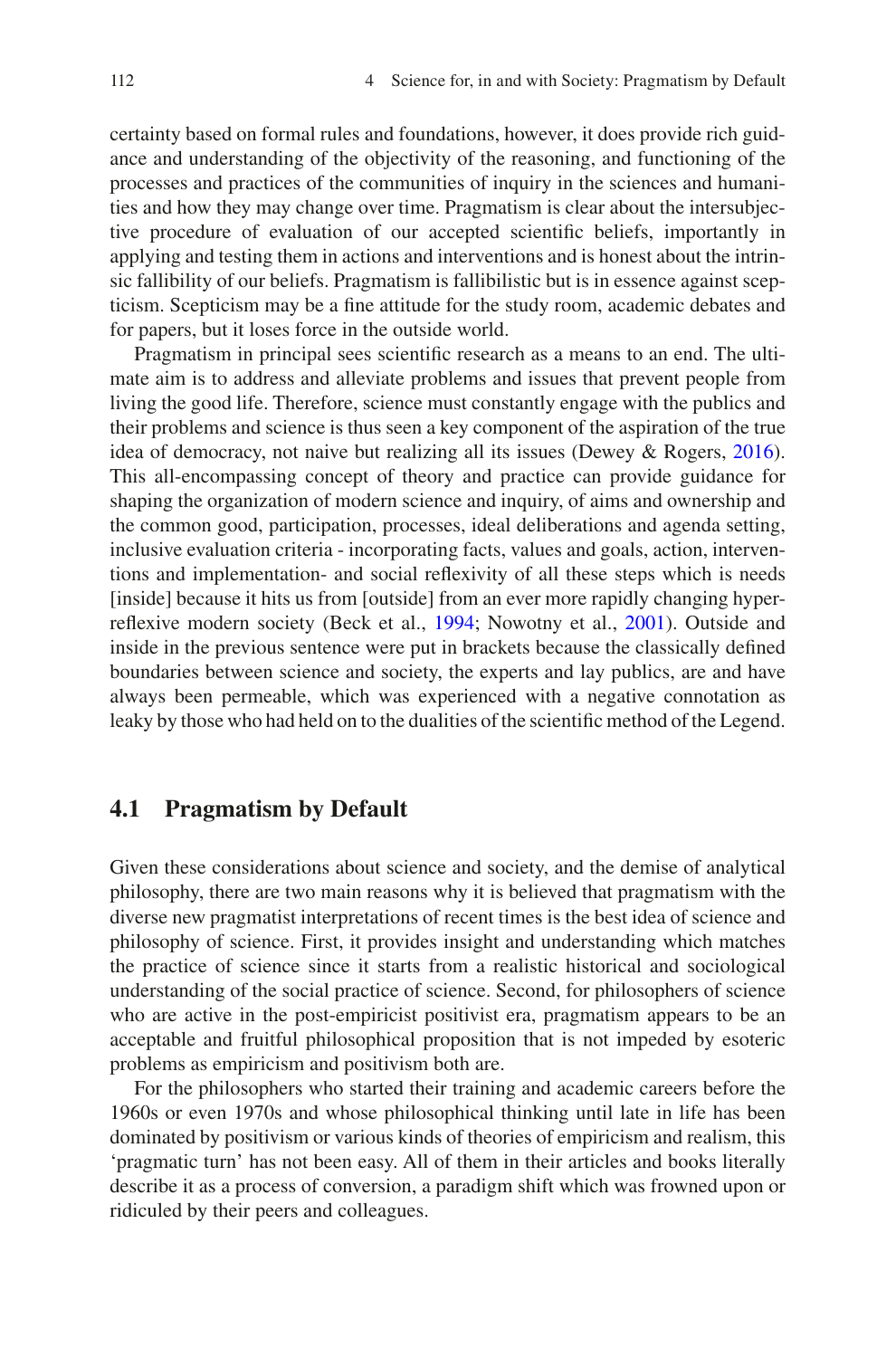certainty based on formal rules and foundations, however, it does provide rich guidance and understanding of the objectivity of the reasoning, and functioning of the processes and practices of the communities of inquiry in the sciences and humanities and how they may change over time. Pragmatism is clear about the intersubjective procedure of evaluation of our accepted scientifc beliefs, importantly in applying and testing them in actions and interventions and is honest about the intrinsic fallibility of our beliefs. Pragmatism is fallibilistic but is in essence against scepticism. Scepticism may be a fne attitude for the study room, academic debates and for papers, but it loses force in the outside world.

Pragmatism in principal sees scientifc research as a means to an end. The ultimate aim is to address and alleviate problems and issues that prevent people from living the good life. Therefore, science must constantly engage with the publics and their problems and science is thus seen a key component of the aspiration of the true idea of democracy, not naive but realizing all its issues (Dewey & Rogers, [2016\)](#page-17-1). This all-encompassing concept of theory and practice can provide guidance for shaping the organization of modern science and inquiry, of aims and ownership and the common good, participation, processes, ideal deliberations and agenda setting, inclusive evaluation criteria - incorporating facts, values and goals, action, interventions and implementation- and social refexivity of all these steps which is needs [inside] because it hits us from [outside] from an ever more rapidly changing hyperrefexive modern society (Beck et al., [1994;](#page-17-2) Nowotny et al., [2001\)](#page-18-4). Outside and inside in the previous sentence were put in brackets because the classically defned boundaries between science and society, the experts and lay publics, are and have always been permeable, which was experienced with a negative connotation as leaky by those who had held on to the dualities of the scientifc method of the Legend.

#### **4.1 Pragmatism by Default**

Given these considerations about science and society, and the demise of analytical philosophy, there are two main reasons why it is believed that pragmatism with the diverse new pragmatist interpretations of recent times is the best idea of science and philosophy of science. First, it provides insight and understanding which matches the practice of science since it starts from a realistic historical and sociological understanding of the social practice of science. Second, for philosophers of science who are active in the post-empiricist positivist era, pragmatism appears to be an acceptable and fruitful philosophical proposition that is not impeded by esoteric problems as empiricism and positivism both are.

For the philosophers who started their training and academic careers before the 1960s or even 1970s and whose philosophical thinking until late in life has been dominated by positivism or various kinds of theories of empiricism and realism, this 'pragmatic turn' has not been easy. All of them in their articles and books literally describe it as a process of conversion, a paradigm shift which was frowned upon or ridiculed by their peers and colleagues.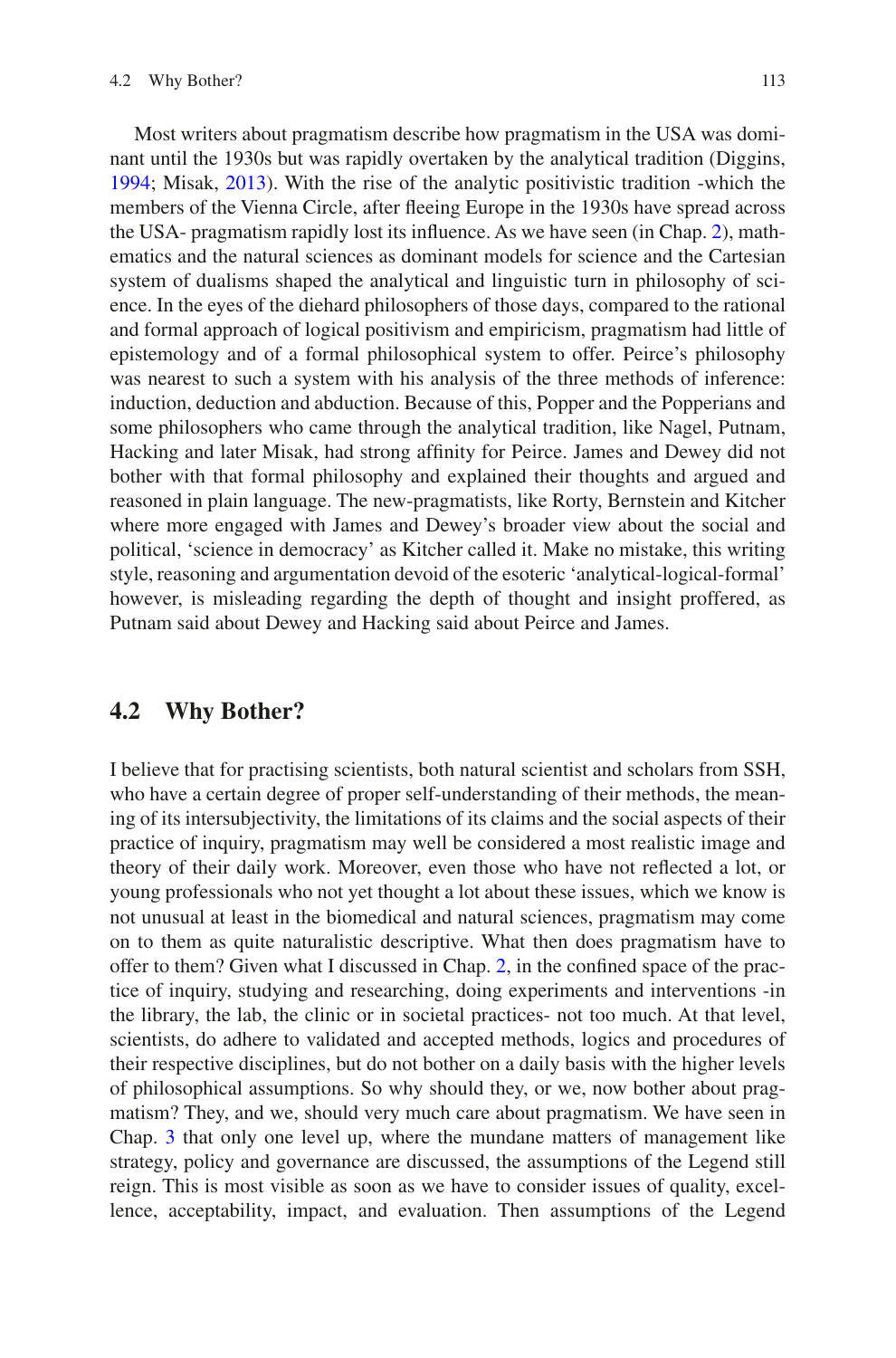Most writers about pragmatism describe how pragmatism in the USA was dominant until the 1930s but was rapidly overtaken by the analytical tradition (Diggins, [1994;](#page-17-3) Misak, [2013\)](#page-18-7). With the rise of the analytic positivistic tradition -which the members of the Vienna Circle, after feeing Europe in the 1930s have spread across the USA- pragmatism rapidly lost its infuence. As we have seen (in Chap. [2](https://doi.org/10.1007/978-94-024-2115-6_2)), mathematics and the natural sciences as dominant models for science and the Cartesian system of dualisms shaped the analytical and linguistic turn in philosophy of science. In the eyes of the diehard philosophers of those days, compared to the rational and formal approach of logical positivism and empiricism, pragmatism had little of epistemology and of a formal philosophical system to offer. Peirce's philosophy was nearest to such a system with his analysis of the three methods of inference: induction, deduction and abduction. Because of this, Popper and the Popperians and some philosophers who came through the analytical tradition, like Nagel, Putnam, Hacking and later Misak, had strong affnity for Peirce. James and Dewey did not bother with that formal philosophy and explained their thoughts and argued and reasoned in plain language. The new-pragmatists, like Rorty, Bernstein and Kitcher where more engaged with James and Dewey's broader view about the social and political, 'science in democracy' as Kitcher called it. Make no mistake, this writing style, reasoning and argumentation devoid of the esoteric 'analytical-logical-formal' however, is misleading regarding the depth of thought and insight proffered, as Putnam said about Dewey and Hacking said about Peirce and James.

#### **4.2 Why Bother?**

I believe that for practising scientists, both natural scientist and scholars from SSH, who have a certain degree of proper self-understanding of their methods, the meaning of its intersubjectivity, the limitations of its claims and the social aspects of their practice of inquiry, pragmatism may well be considered a most realistic image and theory of their daily work. Moreover, even those who have not refected a lot, or young professionals who not yet thought a lot about these issues, which we know is not unusual at least in the biomedical and natural sciences, pragmatism may come on to them as quite naturalistic descriptive. What then does pragmatism have to offer to them? Given what I discussed in Chap. [2](https://doi.org/10.1007/978-94-024-2115-6_2), in the confned space of the practice of inquiry, studying and researching, doing experiments and interventions -in the library, the lab, the clinic or in societal practices- not too much. At that level, scientists, do adhere to validated and accepted methods, logics and procedures of their respective disciplines, but do not bother on a daily basis with the higher levels of philosophical assumptions. So why should they, or we, now bother about pragmatism? They, and we, should very much care about pragmatism. We have seen in Chap. [3](https://doi.org/10.1007/978-94-024-2115-6_3) that only one level up, where the mundane matters of management like strategy, policy and governance are discussed, the assumptions of the Legend still reign. This is most visible as soon as we have to consider issues of quality, excellence, acceptability, impact, and evaluation. Then assumptions of the Legend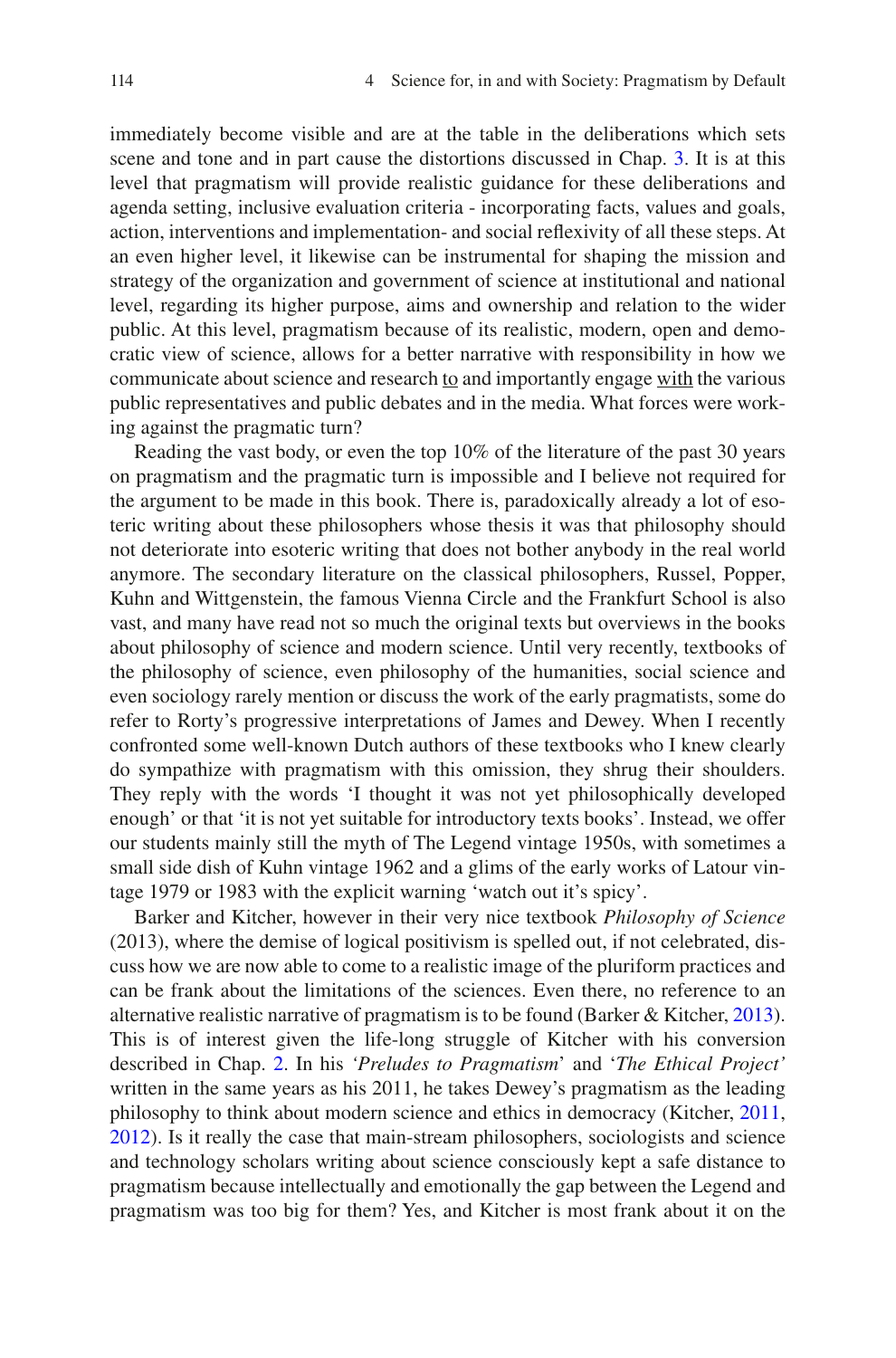immediately become visible and are at the table in the deliberations which sets scene and tone and in part cause the distortions discussed in Chap. [3.](https://doi.org/10.1007/978-94-024-2115-6_3) It is at this level that pragmatism will provide realistic guidance for these deliberations and agenda setting, inclusive evaluation criteria - incorporating facts, values and goals, action, interventions and implementation- and social refexivity of all these steps. At an even higher level, it likewise can be instrumental for shaping the mission and strategy of the organization and government of science at institutional and national level, regarding its higher purpose, aims and ownership and relation to the wider public. At this level, pragmatism because of its realistic, modern, open and democratic view of science, allows for a better narrative with responsibility in how we communicate about science and research to and importantly engage with the various public representatives and public debates and in the media. What forces were working against the pragmatic turn?

Reading the vast body, or even the top 10% of the literature of the past 30 years on pragmatism and the pragmatic turn is impossible and I believe not required for the argument to be made in this book. There is, paradoxically already a lot of esoteric writing about these philosophers whose thesis it was that philosophy should not deteriorate into esoteric writing that does not bother anybody in the real world anymore. The secondary literature on the classical philosophers, Russel, Popper, Kuhn and Wittgenstein, the famous Vienna Circle and the Frankfurt School is also vast, and many have read not so much the original texts but overviews in the books about philosophy of science and modern science. Until very recently, textbooks of the philosophy of science, even philosophy of the humanities, social science and even sociology rarely mention or discuss the work of the early pragmatists, some do refer to Rorty's progressive interpretations of James and Dewey. When I recently confronted some well-known Dutch authors of these textbooks who I knew clearly do sympathize with pragmatism with this omission, they shrug their shoulders. They reply with the words 'I thought it was not yet philosophically developed enough' or that 'it is not yet suitable for introductory texts books'. Instead, we offer our students mainly still the myth of The Legend vintage 1950s, with sometimes a small side dish of Kuhn vintage 1962 and a glims of the early works of Latour vintage 1979 or 1983 with the explicit warning 'watch out it's spicy'.

Barker and Kitcher, however in their very nice textbook *Philosophy of Science* (2013), where the demise of logical positivism is spelled out, if not celebrated, discuss how we are now able to come to a realistic image of the pluriform practices and can be frank about the limitations of the sciences. Even there, no reference to an alternative realistic narrative of pragmatism is to be found (Barker & Kitcher, [2013\)](#page-17-4). This is of interest given the life-long struggle of Kitcher with his conversion described in Chap. [2](https://doi.org/10.1007/978-94-024-2115-6_2). In his *'Preludes to Pragmatism*' and '*The Ethical Project'* written in the same years as his 2011, he takes Dewey's pragmatism as the leading philosophy to think about modern science and ethics in democracy (Kitcher, [2011,](#page-18-8) [2012\)](#page-18-9). Is it really the case that main-stream philosophers, sociologists and science and technology scholars writing about science consciously kept a safe distance to pragmatism because intellectually and emotionally the gap between the Legend and pragmatism was too big for them? Yes, and Kitcher is most frank about it on the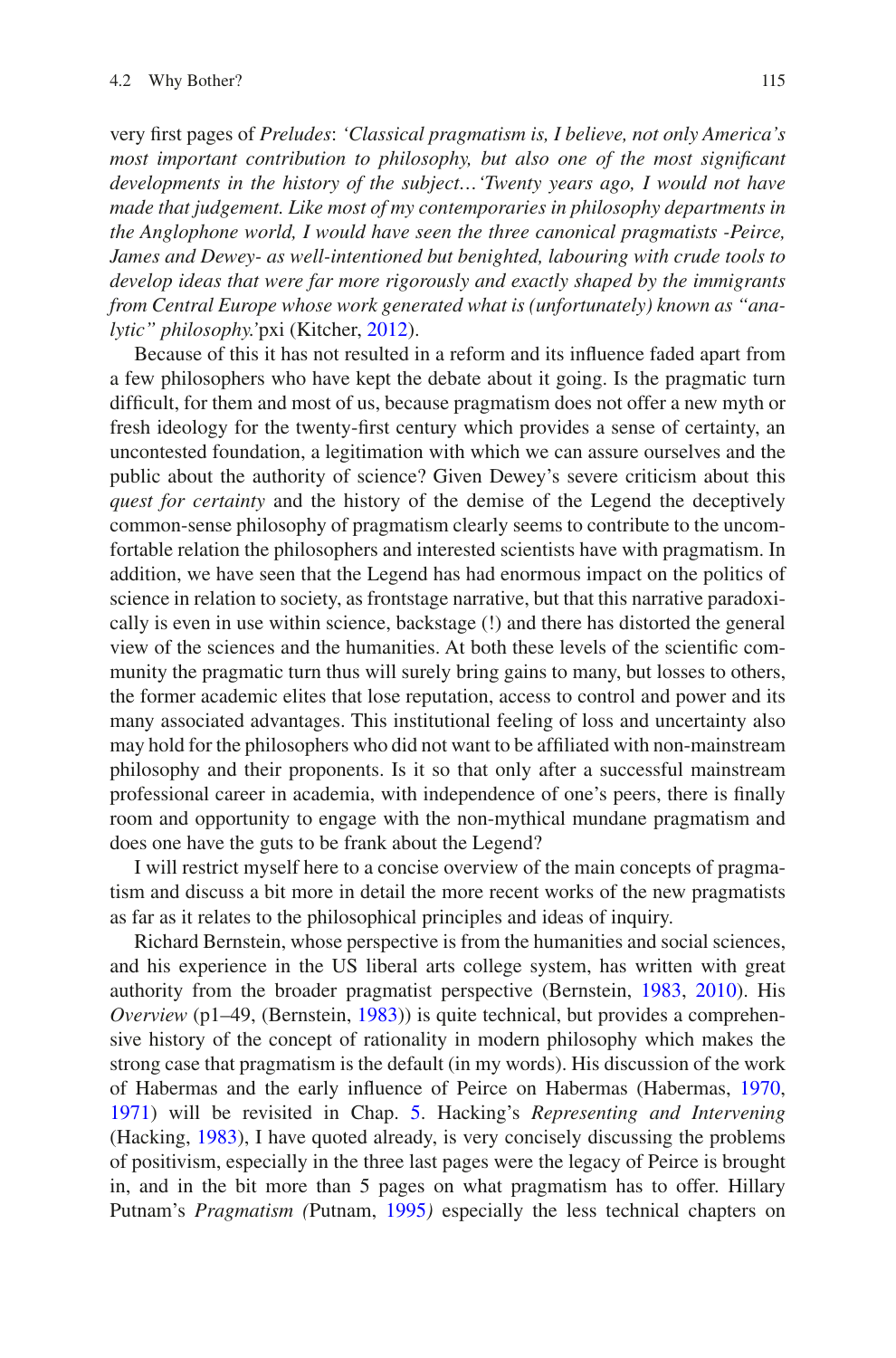very frst pages of *Preludes*: *'Classical pragmatism is, I believe, not only America's most important contribution to philosophy, but also one of the most signifcant developments in the history of the subject…'Twenty years ago, I would not have made that judgement. Like most of my contemporaries in philosophy departments in the Anglophone world, I would have seen the three canonical pragmatists -Peirce, James and Dewey- as well-intentioned but benighted, labouring with crude tools to develop ideas that were far more rigorously and exactly shaped by the immigrants from Central Europe whose work generated what is (unfortunately) known as "analytic" philosophy.'*pxi (Kitcher, [2012](#page-18-9)).

Because of this it has not resulted in a reform and its infuence faded apart from a few philosophers who have kept the debate about it going. Is the pragmatic turn diffcult, for them and most of us, because pragmatism does not offer a new myth or fresh ideology for the twenty-frst century which provides a sense of certainty, an uncontested foundation, a legitimation with which we can assure ourselves and the public about the authority of science? Given Dewey's severe criticism about this *quest for certainty* and the history of the demise of the Legend the deceptively common-sense philosophy of pragmatism clearly seems to contribute to the uncomfortable relation the philosophers and interested scientists have with pragmatism. In addition, we have seen that the Legend has had enormous impact on the politics of science in relation to society, as frontstage narrative, but that this narrative paradoxically is even in use within science, backstage (!) and there has distorted the general view of the sciences and the humanities. At both these levels of the scientifc community the pragmatic turn thus will surely bring gains to many, but losses to others, the former academic elites that lose reputation, access to control and power and its many associated advantages. This institutional feeling of loss and uncertainty also may hold for the philosophers who did not want to be affliated with non-mainstream philosophy and their proponents. Is it so that only after a successful mainstream professional career in academia, with independence of one's peers, there is fnally room and opportunity to engage with the non-mythical mundane pragmatism and does one have the guts to be frank about the Legend?

I will restrict myself here to a concise overview of the main concepts of pragmatism and discuss a bit more in detail the more recent works of the new pragmatists as far as it relates to the philosophical principles and ideas of inquiry.

Richard Bernstein, whose perspective is from the humanities and social sciences, and his experience in the US liberal arts college system, has written with great authority from the broader pragmatist perspective (Bernstein, [1983](#page-17-5), [2010](#page-17-6)). His *Overview* (p1–49, (Bernstein, [1983](#page-17-5))) is quite technical, but provides a comprehensive history of the concept of rationality in modern philosophy which makes the strong case that pragmatism is the default (in my words). His discussion of the work of Habermas and the early infuence of Peirce on Habermas (Habermas, [1970](#page-17-7), [1971\)](#page-17-8) will be revisited in Chap. [5](https://doi.org/10.1007/978-94-024-2115-6_5). Hacking's *Representing and Intervening* (Hacking, [1983\)](#page-17-9), I have quoted already, is very concisely discussing the problems of positivism, especially in the three last pages were the legacy of Peirce is brought in, and in the bit more than 5 pages on what pragmatism has to offer. Hillary Putnam's *Pragmatism (*Putnam, [1995](#page-18-10)*)* especially the less technical chapters on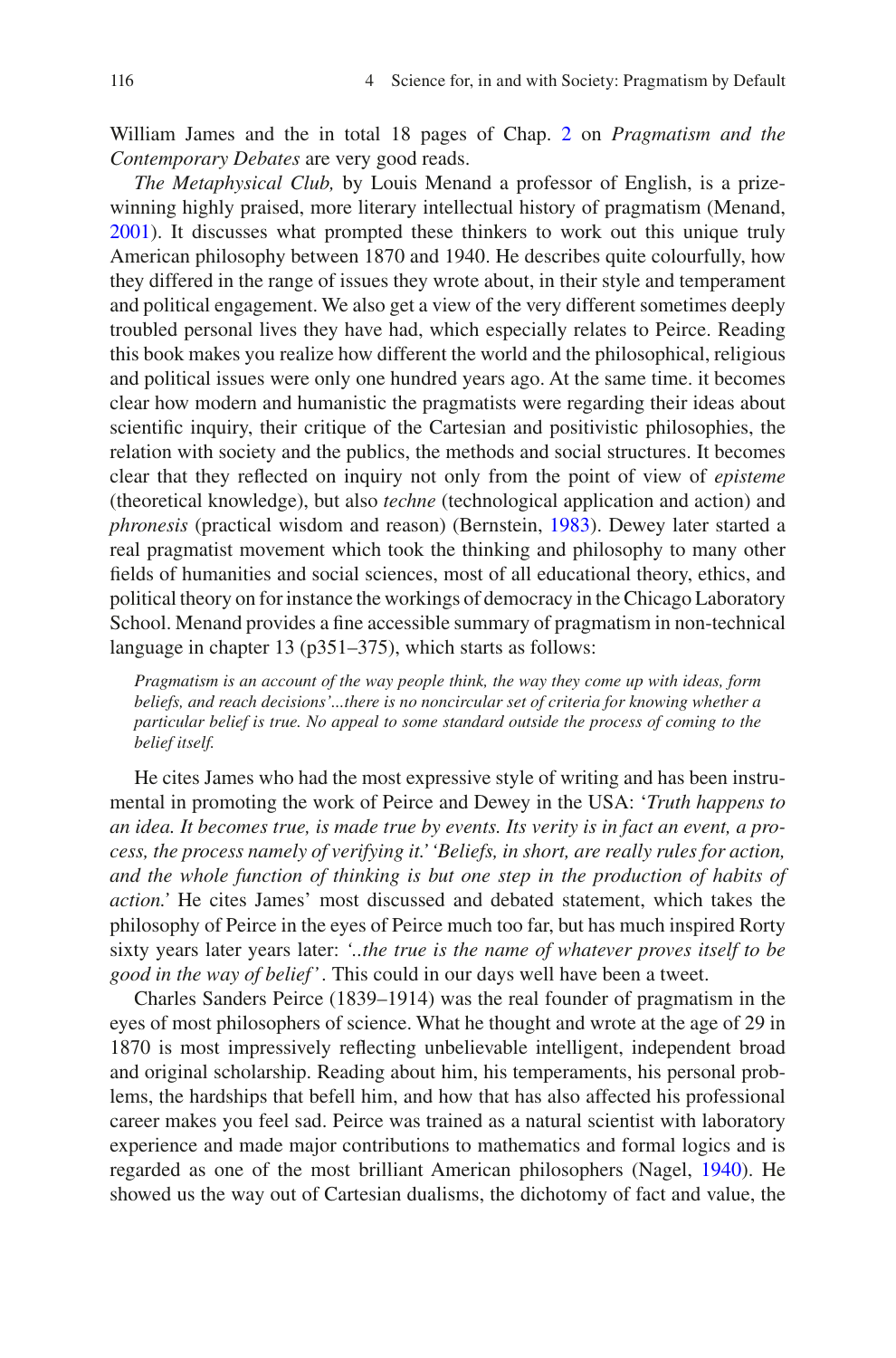William James and the in total 18 pages of Chap. [2](https://doi.org/10.1007/978-94-024-2115-6_2) on *Pragmatism and the Contemporary Debates* are very good reads.

*The Metaphysical Club,* by Louis Menand a professor of English, is a prizewinning highly praised, more literary intellectual history of pragmatism (Menand, [2001\)](#page-18-11). It discusses what prompted these thinkers to work out this unique truly American philosophy between 1870 and 1940. He describes quite colourfully, how they differed in the range of issues they wrote about, in their style and temperament and political engagement. We also get a view of the very different sometimes deeply troubled personal lives they have had, which especially relates to Peirce. Reading this book makes you realize how different the world and the philosophical, religious and political issues were only one hundred years ago. At the same time. it becomes clear how modern and humanistic the pragmatists were regarding their ideas about scientifc inquiry, their critique of the Cartesian and positivistic philosophies, the relation with society and the publics, the methods and social structures. It becomes clear that they refected on inquiry not only from the point of view of *episteme* (theoretical knowledge), but also *techne* (technological application and action) and *phronesis* (practical wisdom and reason) (Bernstein, [1983\)](#page-17-5). Dewey later started a real pragmatist movement which took the thinking and philosophy to many other felds of humanities and social sciences, most of all educational theory, ethics, and political theory on for instance the workings of democracy in the Chicago Laboratory School. Menand provides a fne accessible summary of pragmatism in non-technical language in chapter 13 (p351–375), which starts as follows:

*Pragmatism is an account of the way people think, the way they come up with ideas, form beliefs, and reach decisions'...there is no noncircular set of criteria for knowing whether a particular belief is true. No appeal to some standard outside the process of coming to the belief itself.*

He cites James who had the most expressive style of writing and has been instrumental in promoting the work of Peirce and Dewey in the USA: '*Truth happens to an idea. It becomes true, is made true by events. Its verity is in fact an event, a process, the process namely of verifying it.' 'Beliefs, in short, are really rules for action, and the whole function of thinking is but one step in the production of habits of action.'* He cites James' most discussed and debated statement, which takes the philosophy of Peirce in the eyes of Peirce much too far, but has much inspired Rorty sixty years later years later: *'..the true is the name of whatever proves itself to be good in the way of belief' .* This could in our days well have been a tweet.

Charles Sanders Peirce (1839–1914) was the real founder of pragmatism in the eyes of most philosophers of science. What he thought and wrote at the age of 29 in 1870 is most impressively refecting unbelievable intelligent, independent broad and original scholarship. Reading about him, his temperaments, his personal problems, the hardships that befell him, and how that has also affected his professional career makes you feel sad. Peirce was trained as a natural scientist with laboratory experience and made major contributions to mathematics and formal logics and is regarded as one of the most brilliant American philosophers (Nagel, [1940\)](#page-18-12). He showed us the way out of Cartesian dualisms, the dichotomy of fact and value, the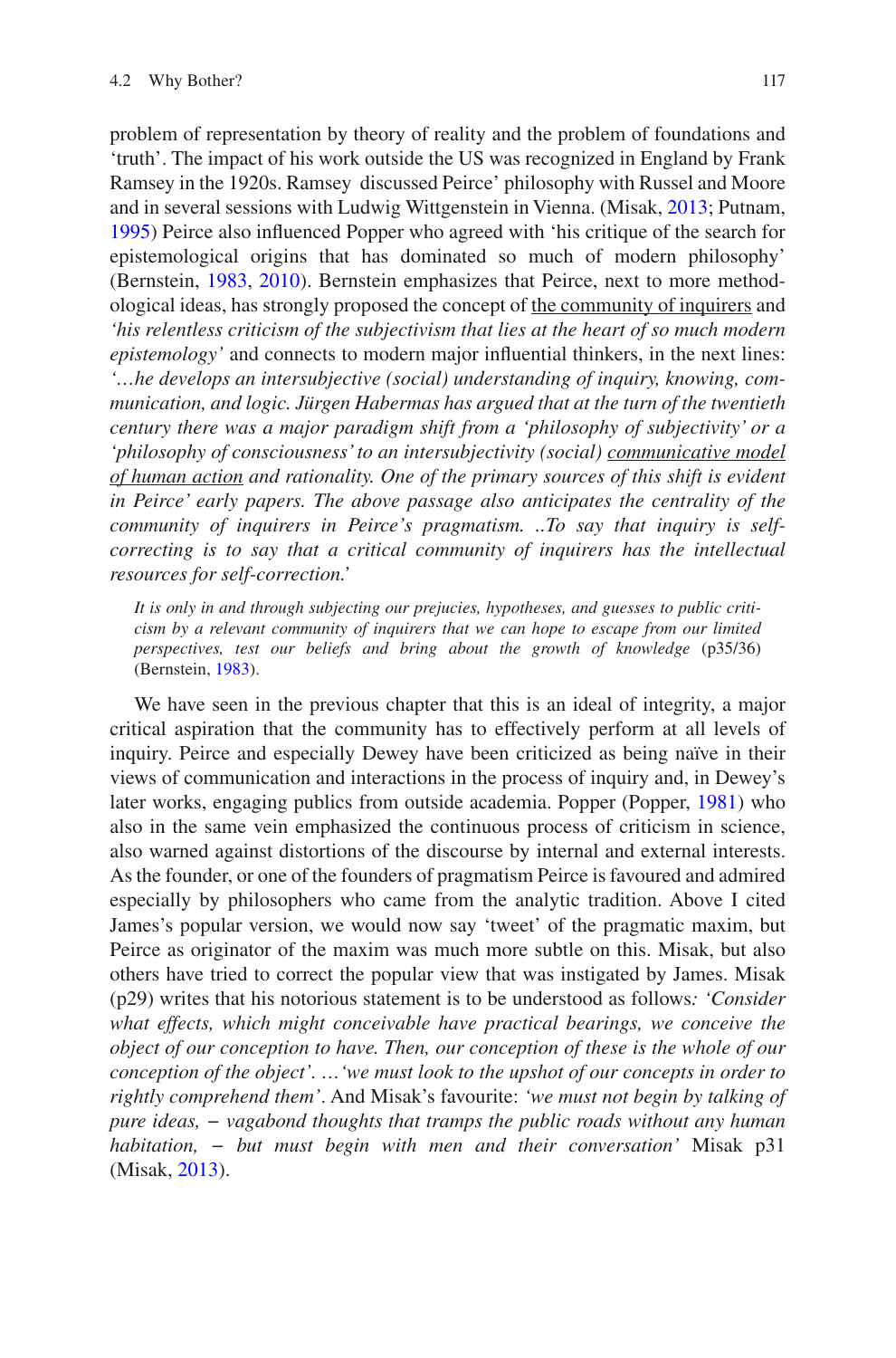problem of representation by theory of reality and the problem of foundations and 'truth'. The impact of his work outside the US was recognized in England by Frank Ramsey in the 1920s. Ramsey discussed Peirce' philosophy with Russel and Moore and in several sessions with Ludwig Wittgenstein in Vienna. (Misak, [2013](#page-18-7); Putnam, [1995\)](#page-18-10) Peirce also infuenced Popper who agreed with 'his critique of the search for epistemological origins that has dominated so much of modern philosophy' (Bernstein, [1983](#page-17-5), [2010](#page-17-6)). Bernstein emphasizes that Peirce, next to more methodological ideas, has strongly proposed the concept of the community of inquirers and *'his relentless criticism of the subjectivism that lies at the heart of so much modern epistemology'* and connects to modern major infuential thinkers, in the next lines: *'…he develops an intersubjective (social) understanding of inquiry, knowing, communication, and logic. Jürgen Habermas has argued that at the turn of the twentieth century there was a major paradigm shift from a 'philosophy of subjectivity' or a 'philosophy of consciousness' to an intersubjectivity (social) communicative model of human action and rationality. One of the primary sources of this shift is evident in Peirce' early papers. The above passage also anticipates the centrality of the community of inquirers in Peirce's pragmatism. ..To say that inquiry is selfcorrecting is to say that a critical community of inquirers has the intellectual resources for self-correction.'*

*It is only in and through subjecting our prejucies, hypotheses, and guesses to public criticism by a relevant community of inquirers that we can hope to escape from our limited perspectives, test our beliefs and bring about the growth of knowledge* (p35/36) (Bernstein, [1983\)](#page-17-5).

We have seen in the previous chapter that this is an ideal of integrity, a major critical aspiration that the community has to effectively perform at all levels of inquiry. Peirce and especially Dewey have been criticized as being naïve in their views of communication and interactions in the process of inquiry and, in Dewey's later works, engaging publics from outside academia. Popper (Popper, [1981\)](#page-18-13) who also in the same vein emphasized the continuous process of criticism in science, also warned against distortions of the discourse by internal and external interests. As the founder, or one of the founders of pragmatism Peirce is favoured and admired especially by philosophers who came from the analytic tradition. Above I cited James's popular version, we would now say 'tweet' of the pragmatic maxim, but Peirce as originator of the maxim was much more subtle on this. Misak, but also others have tried to correct the popular view that was instigated by James. Misak (p29) writes that his notorious statement is to be understood as follows*: 'Consider what effects, which might conceivable have practical bearings, we conceive the object of our conception to have. Then, our conception of these is the whole of our conception of the object'. …'we must look to the upshot of our concepts in order to rightly comprehend them'*. And Misak's favourite: *'we must not begin by talking of pure ideas, − vagabond thoughts that tramps the public roads without any human habitation, − but must begin with men and their conversation'* Misak p31 (Misak, [2013](#page-18-7)).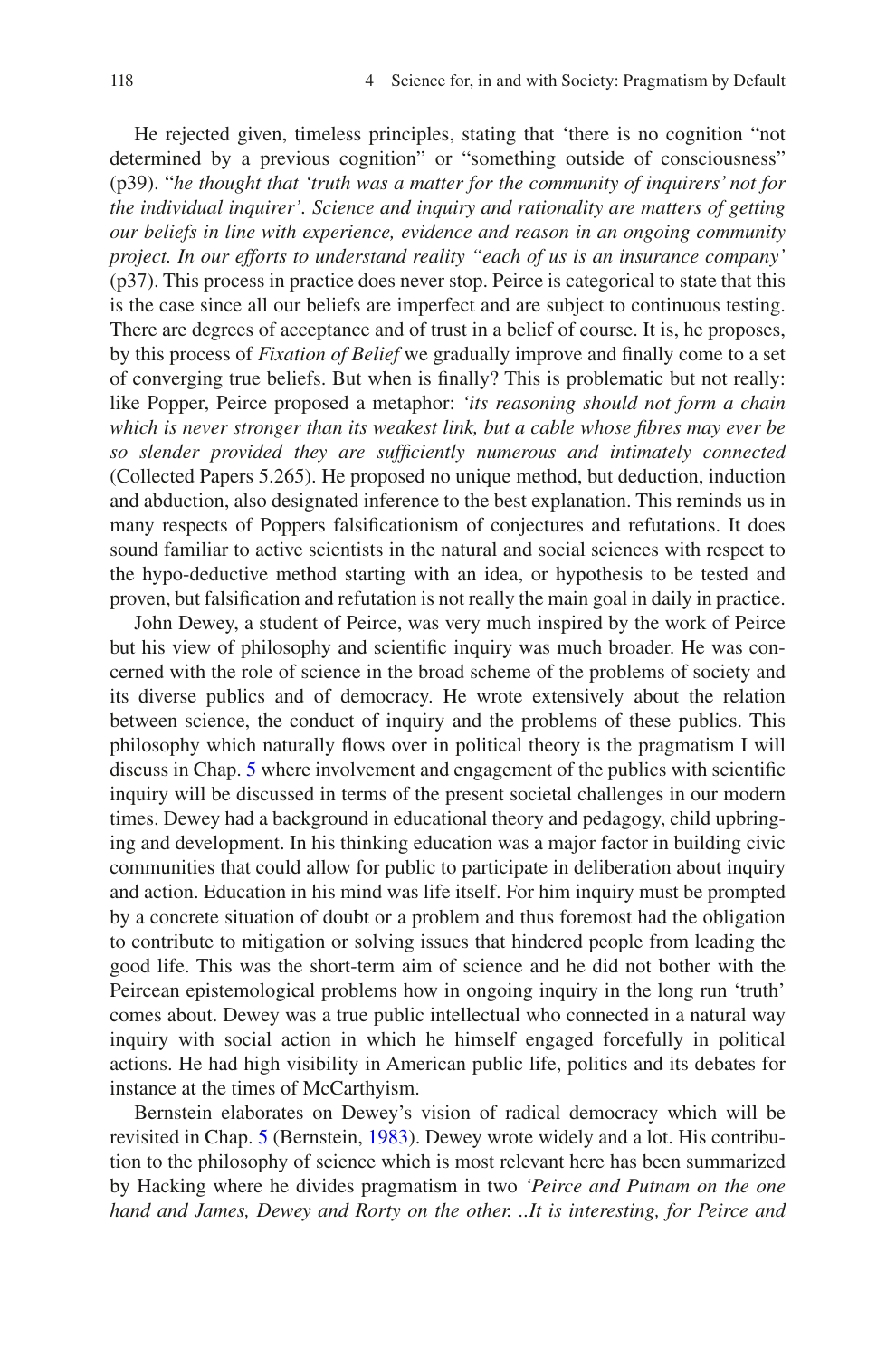He rejected given, timeless principles, stating that 'there is no cognition "not determined by a previous cognition" or "something outside of consciousness" (p39). "*he thought that 'truth was a matter for the community of inquirers' not for the individual inquirer'. Science and inquiry and rationality are matters of getting our beliefs in line with experience, evidence and reason in an ongoing community project. In our efforts to understand reality "each of us is an insurance company'* (p37). This process in practice does never stop. Peirce is categorical to state that this is the case since all our beliefs are imperfect and are subject to continuous testing. There are degrees of acceptance and of trust in a belief of course. It is, he proposes, by this process of *Fixation of Belief* we gradually improve and fnally come to a set of converging true beliefs. But when is fnally? This is problematic but not really: like Popper, Peirce proposed a metaphor: *'its reasoning should not form a chain which is never stronger than its weakest link, but a cable whose fbres may ever be so slender provided they are suffciently numerous and intimately connected* (Collected Papers 5.265). He proposed no unique method, but deduction, induction and abduction, also designated inference to the best explanation. This reminds us in many respects of Poppers falsifcationism of conjectures and refutations. It does sound familiar to active scientists in the natural and social sciences with respect to the hypo-deductive method starting with an idea, or hypothesis to be tested and proven, but falsifcation and refutation is not really the main goal in daily in practice.

John Dewey, a student of Peirce, was very much inspired by the work of Peirce but his view of philosophy and scientifc inquiry was much broader. He was concerned with the role of science in the broad scheme of the problems of society and its diverse publics and of democracy. He wrote extensively about the relation between science, the conduct of inquiry and the problems of these publics. This philosophy which naturally fows over in political theory is the pragmatism I will discuss in Chap. [5](https://doi.org/10.1007/978-94-024-2115-6_5) where involvement and engagement of the publics with scientific inquiry will be discussed in terms of the present societal challenges in our modern times. Dewey had a background in educational theory and pedagogy, child upbringing and development. In his thinking education was a major factor in building civic communities that could allow for public to participate in deliberation about inquiry and action. Education in his mind was life itself. For him inquiry must be prompted by a concrete situation of doubt or a problem and thus foremost had the obligation to contribute to mitigation or solving issues that hindered people from leading the good life. This was the short-term aim of science and he did not bother with the Peircean epistemological problems how in ongoing inquiry in the long run 'truth' comes about. Dewey was a true public intellectual who connected in a natural way inquiry with social action in which he himself engaged forcefully in political actions. He had high visibility in American public life, politics and its debates for instance at the times of McCarthyism.

Bernstein elaborates on Dewey's vision of radical democracy which will be revisited in Chap. [5](https://doi.org/10.1007/978-94-024-2115-6_5) (Bernstein, [1983](#page-17-5)). Dewey wrote widely and a lot. His contribution to the philosophy of science which is most relevant here has been summarized by Hacking where he divides pragmatism in two *'Peirce and Putnam on the one hand and James, Dewey and Rorty on the other. ..It is interesting, for Peirce and*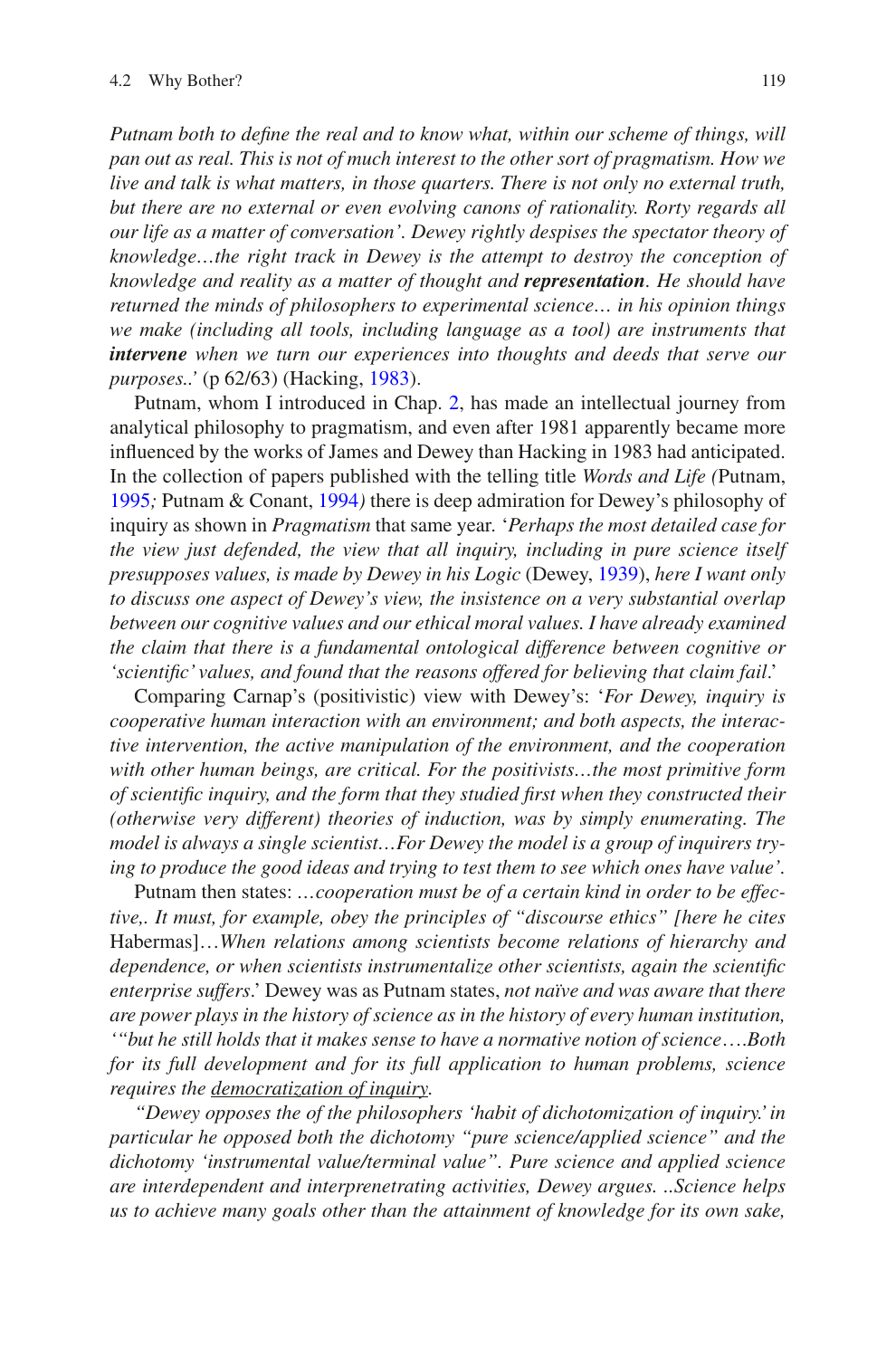*Putnam both to defne the real and to know what, within our scheme of things, will pan out as real. This is not of much interest to the other sort of pragmatism. How we live and talk is what matters, in those quarters. There is not only no external truth, but there are no external or even evolving canons of rationality. Rorty regards all our life as a matter of conversation'. Dewey rightly despises the spectator theory of knowledge…the right track in Dewey is the attempt to destroy the conception of knowledge and reality as a matter of thought and representation. He should have returned the minds of philosophers to experimental science… in his opinion things we make (including all tools, including language as a tool) are instruments that intervene when we turn our experiences into thoughts and deeds that serve our purposes..'* (p 62/63) (Hacking, [1983](#page-17-9)).

Putnam, whom I introduced in Chap. [2](https://doi.org/10.1007/978-94-024-2115-6_2), has made an intellectual journey from analytical philosophy to pragmatism, and even after 1981 apparently became more infuenced by the works of James and Dewey than Hacking in 1983 had anticipated. In the collection of papers published with the telling title *Words and Life (*Putnam, [1995](#page-18-10)*;* Putnam & Conant, [1994](#page-18-14)*)* there is deep admiration for Dewey's philosophy of inquiry as shown in *Pragmatism* that same year*.* '*Perhaps the most detailed case for the view just defended, the view that all inquiry, including in pure science itself presupposes values, is made by Dewey in his Logic* (Dewey, [1939](#page-17-10)), *here I want only to discuss one aspect of Dewey's view, the insistence on a very substantial overlap between our cognitive values and our ethical moral values. I have already examined the claim that there is a fundamental ontological difference between cognitive or 'scientifc' values, and found that the reasons offered for believing that claim fail*.'

Comparing Carnap's (positivistic) view with Dewey's: '*For Dewey, inquiry is cooperative human interaction with an environment; and both aspects, the interactive intervention, the active manipulation of the environment, and the cooperation with other human beings, are critical. For the positivists…the most primitive form of scientifc inquiry, and the form that they studied frst when they constructed their (otherwise very different) theories of induction, was by simply enumerating. The model is always a single scientist…For Dewey the model is a group of inquirers trying to produce the good ideas and trying to test them to see which ones have value'.*

Putnam then states: *…cooperation must be of a certain kind in order to be effective,. It must, for example, obey the principles of "discourse ethics" [here he cites* Habermas]…*When relations among scientists become relations of hierarchy and dependence, or when scientists instrumentalize other scientists, again the scientifc enterprise suffers*.' Dewey was as Putnam states, *not naïve and was aware that there are power plays in the history of science as in the history of every human institution, '"but he still holds that it makes sense to have a normative notion of science*….*Both*  for its full development and for its full application to human problems, science *requires the democratization of inquiry.*

*"Dewey opposes the of the philosophers 'habit of dichotomization of inquiry.' in particular he opposed both the dichotomy "pure science/applied science" and the dichotomy 'instrumental value/terminal value". Pure science and applied science are interdependent and interprenetrating activities, Dewey argues. ..Science helps us to achieve many goals other than the attainment of knowledge for its own sake,*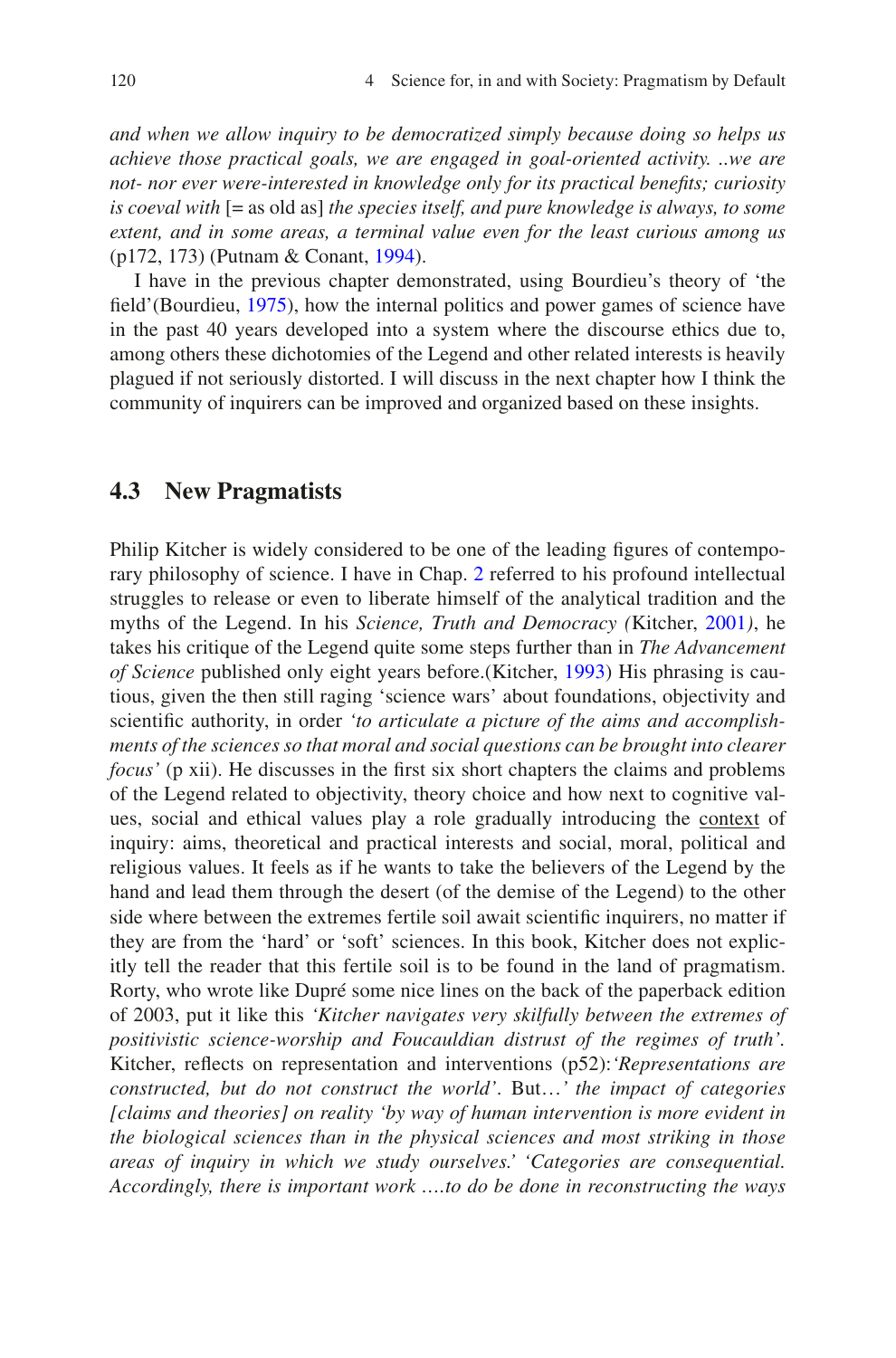*and when we allow inquiry to be democratized simply because doing so helps us achieve those practical goals, we are engaged in goal-oriented activity. ..we are not- nor ever were-interested in knowledge only for its practical benefts; curiosity is coeval with* [= as old as] *the species itself, and pure knowledge is always, to some extent, and in some areas, a terminal value even for the least curious among us* (p172, 173) (Putnam & Conant, [1994\)](#page-18-14).

I have in the previous chapter demonstrated, using Bourdieu's theory of 'the feld'(Bourdieu, [1975\)](#page-17-11), how the internal politics and power games of science have in the past 40 years developed into a system where the discourse ethics due to, among others these dichotomies of the Legend and other related interests is heavily plagued if not seriously distorted. I will discuss in the next chapter how I think the community of inquirers can be improved and organized based on these insights.

#### **4.3 New Pragmatists**

Philip Kitcher is widely considered to be one of the leading fgures of contemporary philosophy of science. I have in Chap. [2](https://doi.org/10.1007/978-94-024-2115-6_2) referred to his profound intellectual struggles to release or even to liberate himself of the analytical tradition and the myths of the Legend. In his *Science, Truth and Democracy (*Kitcher, [2001](#page-18-15)*)*, he takes his critique of the Legend quite some steps further than in *The Advancement of Science* published only eight years before.(Kitcher, [1993](#page-17-12)) His phrasing is cautious, given the then still raging 'science wars' about foundations, objectivity and scientifc authority, in order *'to articulate a picture of the aims and accomplishments of the sciences so that moral and social questions can be brought into clearer focus'* (p xii). He discusses in the frst six short chapters the claims and problems of the Legend related to objectivity, theory choice and how next to cognitive values, social and ethical values play a role gradually introducing the context of inquiry: aims, theoretical and practical interests and social, moral, political and religious values. It feels as if he wants to take the believers of the Legend by the hand and lead them through the desert (of the demise of the Legend) to the other side where between the extremes fertile soil await scientifc inquirers, no matter if they are from the 'hard' or 'soft' sciences. In this book, Kitcher does not explicitly tell the reader that this fertile soil is to be found in the land of pragmatism. Rorty, who wrote like Dupré some nice lines on the back of the paperback edition of 2003, put it like this *'Kitcher navigates very skilfully between the extremes of positivistic science-worship and Foucauldian distrust of the regimes of truth'.* Kitcher, refects on representation and interventions (p52):*'Representations are constructed, but do not construct the world'*. But…*' the impact of categories [claims and theories] on reality 'by way of human intervention is more evident in the biological sciences than in the physical sciences and most striking in those areas of inquiry in which we study ourselves.' 'Categories are consequential. Accordingly, there is important work ….to do be done in reconstructing the ways*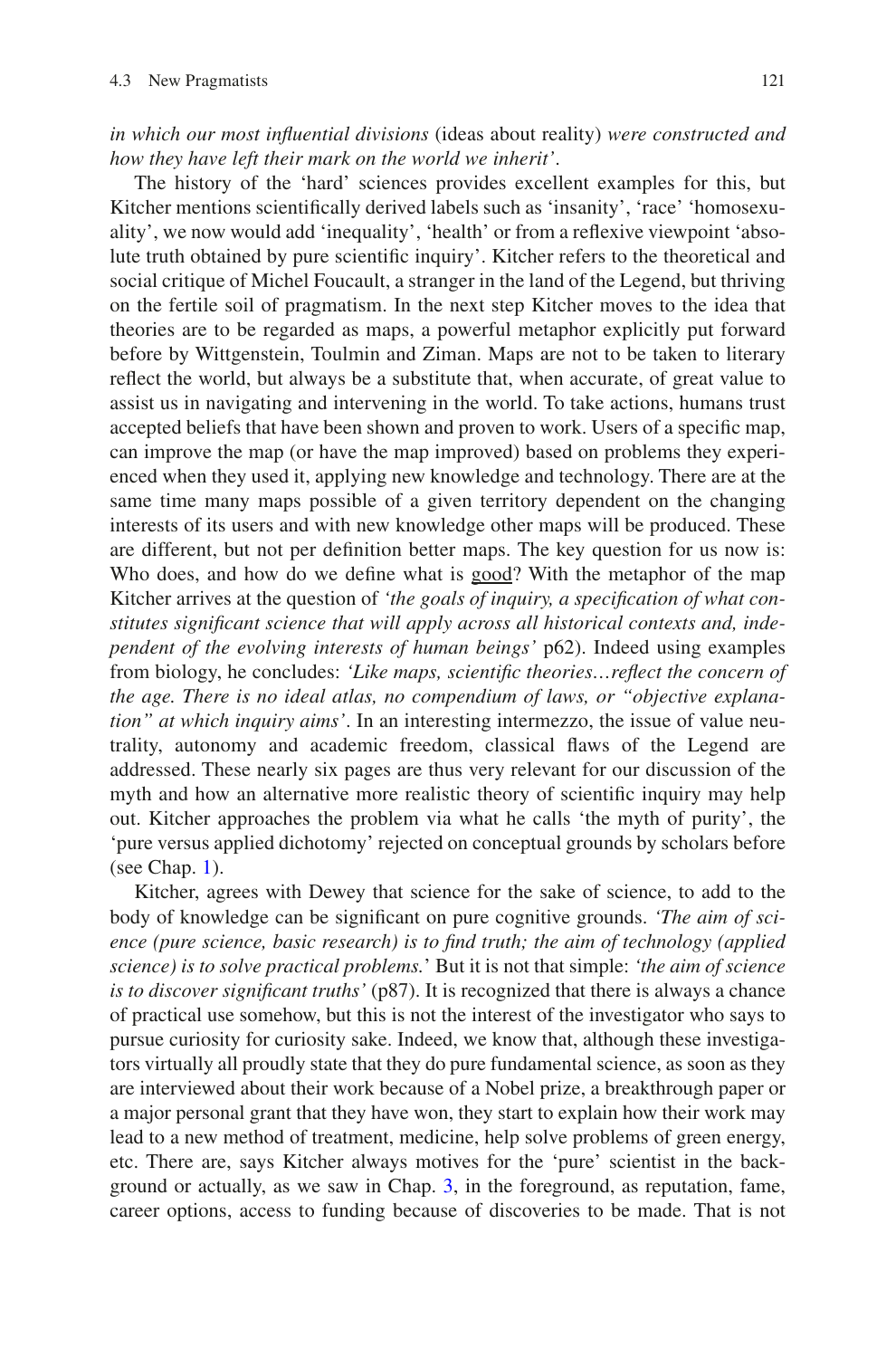*in which our most infuential divisions* (ideas about reality) *were constructed and how they have left their mark on the world we inherit'*.

The history of the 'hard' sciences provides excellent examples for this, but Kitcher mentions scientifcally derived labels such as 'insanity', 'race' 'homosexuality', we now would add 'inequality', 'health' or from a refexive viewpoint 'absolute truth obtained by pure scientifc inquiry'. Kitcher refers to the theoretical and social critique of Michel Foucault, a stranger in the land of the Legend, but thriving on the fertile soil of pragmatism. In the next step Kitcher moves to the idea that theories are to be regarded as maps, a powerful metaphor explicitly put forward before by Wittgenstein, Toulmin and Ziman. Maps are not to be taken to literary refect the world, but always be a substitute that, when accurate, of great value to assist us in navigating and intervening in the world. To take actions, humans trust accepted beliefs that have been shown and proven to work. Users of a specifc map, can improve the map (or have the map improved) based on problems they experienced when they used it, applying new knowledge and technology. There are at the same time many maps possible of a given territory dependent on the changing interests of its users and with new knowledge other maps will be produced. These are different, but not per defnition better maps. The key question for us now is: Who does, and how do we defne what is good? With the metaphor of the map Kitcher arrives at the question of *'the goals of inquiry, a specifcation of what constitutes signifcant science that will apply across all historical contexts and, independent of the evolving interests of human beings'* p62). Indeed using examples from biology, he concludes: *'Like maps, scientifc theories…refect the concern of the age. There is no ideal atlas, no compendium of laws, or "objective explanation" at which inquiry aims'*. In an interesting intermezzo, the issue of value neutrality, autonomy and academic freedom, classical faws of the Legend are addressed. These nearly six pages are thus very relevant for our discussion of the myth and how an alternative more realistic theory of scientifc inquiry may help out. Kitcher approaches the problem via what he calls 'the myth of purity', the 'pure versus applied dichotomy' rejected on conceptual grounds by scholars before (see Chap. [1](https://doi.org/10.1007/978-94-024-2115-6_1)).

Kitcher, agrees with Dewey that science for the sake of science, to add to the body of knowledge can be signifcant on pure cognitive grounds. *'The aim of science (pure science, basic research) is to fnd truth; the aim of technology (applied science) is to solve practical problems.*' But it is not that simple: *'the aim of science is to discover signifcant truths'* (p87). It is recognized that there is always a chance of practical use somehow, but this is not the interest of the investigator who says to pursue curiosity for curiosity sake. Indeed, we know that, although these investigators virtually all proudly state that they do pure fundamental science, as soon as they are interviewed about their work because of a Nobel prize, a breakthrough paper or a major personal grant that they have won, they start to explain how their work may lead to a new method of treatment, medicine, help solve problems of green energy, etc. There are, says Kitcher always motives for the 'pure' scientist in the background or actually, as we saw in Chap. [3](https://doi.org/10.1007/978-94-024-2115-6_3), in the foreground, as reputation, fame, career options, access to funding because of discoveries to be made. That is not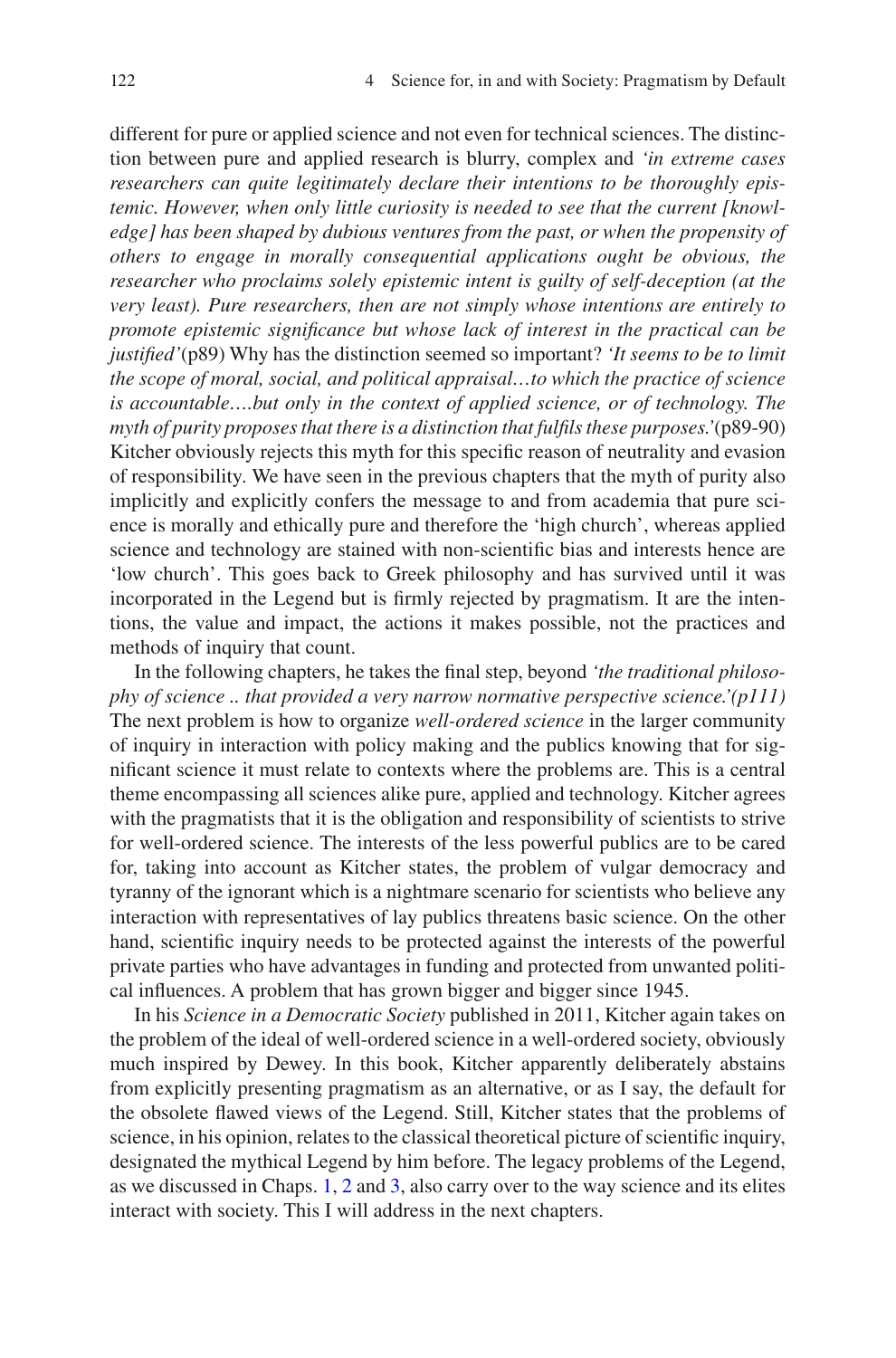different for pure or applied science and not even for technical sciences. The distinction between pure and applied research is blurry, complex and *'in extreme cases researchers can quite legitimately declare their intentions to be thoroughly epistemic. However, when only little curiosity is needed to see that the current [knowledge] has been shaped by dubious ventures from the past, or when the propensity of others to engage in morally consequential applications ought be obvious, the researcher who proclaims solely epistemic intent is guilty of self-deception (at the very least). Pure researchers, then are not simply whose intentions are entirely to promote epistemic signifcance but whose lack of interest in the practical can be justifed'*(p89) Why has the distinction seemed so important? *'It seems to be to limit the scope of moral, social, and political appraisal…to which the practice of science is accountable….but only in the context of applied science, or of technology. The myth of purity proposes that there is a distinction that fulfls these purposes.'*(p89-90) Kitcher obviously rejects this myth for this specifc reason of neutrality and evasion of responsibility*.* We have seen in the previous chapters that the myth of purity also implicitly and explicitly confers the message to and from academia that pure science is morally and ethically pure and therefore the 'high church', whereas applied science and technology are stained with non-scientifc bias and interests hence are 'low church'. This goes back to Greek philosophy and has survived until it was incorporated in the Legend but is frmly rejected by pragmatism. It are the intentions, the value and impact, the actions it makes possible, not the practices and methods of inquiry that count.

In the following chapters, he takes the fnal step, beyond *'the traditional philosophy of science .. that provided a very narrow normative perspective science.'(p111)* The next problem is how to organize *well-ordered science* in the larger community of inquiry in interaction with policy making and the publics knowing that for signifcant science it must relate to contexts where the problems are. This is a central theme encompassing all sciences alike pure, applied and technology. Kitcher agrees with the pragmatists that it is the obligation and responsibility of scientists to strive for well-ordered science. The interests of the less powerful publics are to be cared for, taking into account as Kitcher states, the problem of vulgar democracy and tyranny of the ignorant which is a nightmare scenario for scientists who believe any interaction with representatives of lay publics threatens basic science. On the other hand, scientifc inquiry needs to be protected against the interests of the powerful private parties who have advantages in funding and protected from unwanted political infuences. A problem that has grown bigger and bigger since 1945.

In his *Science in a Democratic Society* published in 2011, Kitcher again takes on the problem of the ideal of well-ordered science in a well-ordered society, obviously much inspired by Dewey. In this book, Kitcher apparently deliberately abstains from explicitly presenting pragmatism as an alternative, or as I say, the default for the obsolete fawed views of the Legend. Still, Kitcher states that the problems of science, in his opinion, relates to the classical theoretical picture of scientifc inquiry, designated the mythical Legend by him before. The legacy problems of the Legend, as we discussed in Chaps. [1](https://doi.org/10.1007/978-94-024-2115-6_1), [2](https://doi.org/10.1007/978-94-024-2115-6_2) and [3,](https://doi.org/10.1007/978-94-024-2115-6_3) also carry over to the way science and its elites interact with society. This I will address in the next chapters.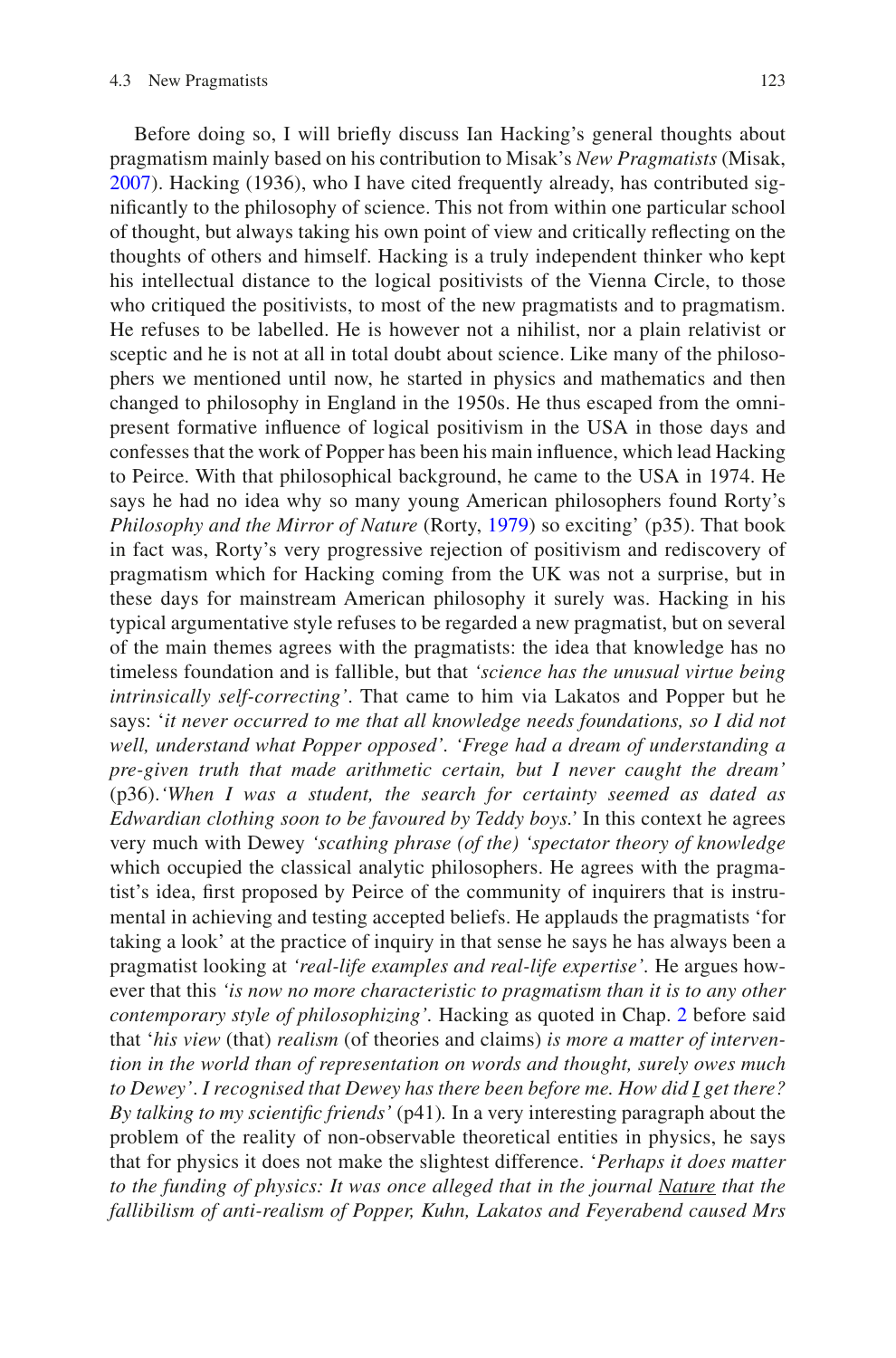Before doing so, I will briefy discuss Ian Hacking's general thoughts about pragmatism mainly based on his contribution to Misak's *New Pragmatists* (Misak, [2007](#page-18-6)). Hacking (1936), who I have cited frequently already, has contributed signifcantly to the philosophy of science. This not from within one particular school of thought, but always taking his own point of view and critically refecting on the thoughts of others and himself. Hacking is a truly independent thinker who kept his intellectual distance to the logical positivists of the Vienna Circle, to those who critiqued the positivists, to most of the new pragmatists and to pragmatism. He refuses to be labelled. He is however not a nihilist, nor a plain relativist or sceptic and he is not at all in total doubt about science. Like many of the philosophers we mentioned until now, he started in physics and mathematics and then changed to philosophy in England in the 1950s. He thus escaped from the omnipresent formative infuence of logical positivism in the USA in those days and confesses that the work of Popper has been his main infuence, which lead Hacking to Peirce. With that philosophical background, he came to the USA in 1974. He says he had no idea why so many young American philosophers found Rorty's *Philosophy and the Mirror of Nature* (Rorty, [1979\)](#page-18-16) so exciting' (p35). That book in fact was, Rorty's very progressive rejection of positivism and rediscovery of pragmatism which for Hacking coming from the UK was not a surprise, but in these days for mainstream American philosophy it surely was. Hacking in his typical argumentative style refuses to be regarded a new pragmatist, but on several of the main themes agrees with the pragmatists: the idea that knowledge has no timeless foundation and is fallible, but that *'science has the unusual virtue being intrinsically self-correcting'*. That came to him via Lakatos and Popper but he says: '*it never occurred to me that all knowledge needs foundations, so I did not well, understand what Popper opposed'. 'Frege had a dream of understanding a pre-given truth that made arithmetic certain, but I never caught the dream'* (p36).*'When I was a student, the search for certainty seemed as dated as Edwardian clothing soon to be favoured by Teddy boys.'* In this context he agrees very much with Dewey *'scathing phrase (of the) 'spectator theory of knowledge* which occupied the classical analytic philosophers. He agrees with the pragmatist's idea, frst proposed by Peirce of the community of inquirers that is instrumental in achieving and testing accepted beliefs. He applauds the pragmatists 'for taking a look' at the practice of inquiry in that sense he says he has always been a pragmatist looking at *'real-life examples and real-life expertise'.* He argues however that this *'is now no more characteristic to pragmatism than it is to any other contemporary style of philosophizing'.* Hacking as quoted in Chap. [2](https://doi.org/10.1007/978-94-024-2115-6_2) before said that '*his view* (that) *realism* (of theories and claims) *is more a matter of intervention in the world than of representation on words and thought, surely owes much to Dewey'*. *I recognised that Dewey has there been before me. How did I get there? By talking to my scientifc friends'* (p41)*.* In a very interesting paragraph about the problem of the reality of non-observable theoretical entities in physics, he says that for physics it does not make the slightest difference. '*Perhaps it does matter to the funding of physics: It was once alleged that in the journal Nature that the fallibilism of anti-realism of Popper, Kuhn, Lakatos and Feyerabend caused Mrs*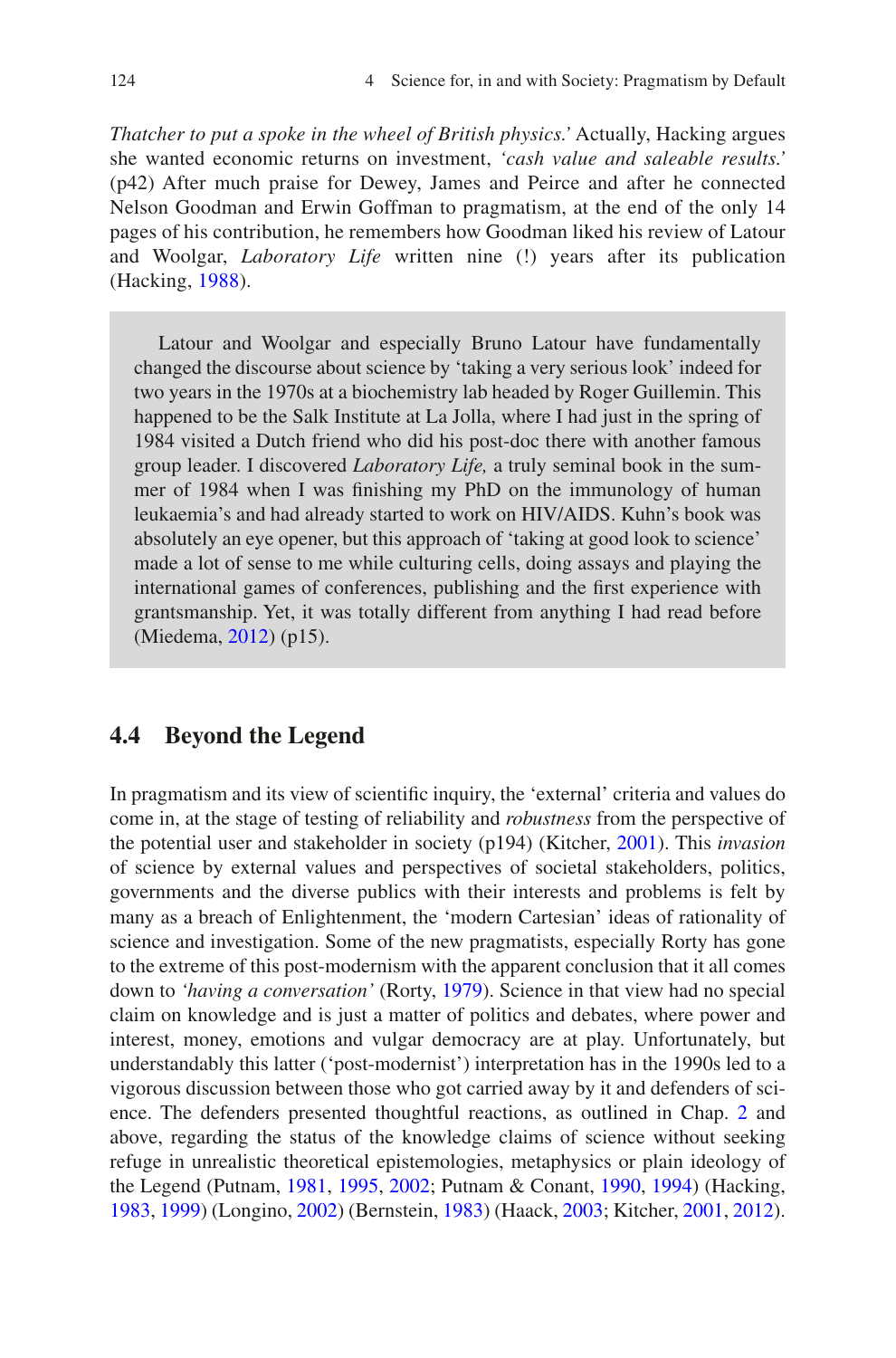*Thatcher to put a spoke in the wheel of British physics.'* Actually, Hacking argues she wanted economic returns on investment, *'cash value and saleable results.'* (p42) After much praise for Dewey, James and Peirce and after he connected Nelson Goodman and Erwin Goffman to pragmatism, at the end of the only 14 pages of his contribution, he remembers how Goodman liked his review of Latour and Woolgar, *Laboratory Life* written nine (!) years after its publication (Hacking, [1988](#page-17-13)).

Latour and Woolgar and especially Bruno Latour have fundamentally changed the discourse about science by 'taking a very serious look' indeed for two years in the 1970s at a biochemistry lab headed by Roger Guillemin. This happened to be the Salk Institute at La Jolla, where I had just in the spring of 1984 visited a Dutch friend who did his post-doc there with another famous group leader. I discovered *Laboratory Life,* a truly seminal book in the summer of 1984 when I was fnishing my PhD on the immunology of human leukaemia's and had already started to work on HIV/AIDS. Kuhn's book was absolutely an eye opener, but this approach of 'taking at good look to science' made a lot of sense to me while culturing cells, doing assays and playing the international games of conferences, publishing and the frst experience with grantsmanship. Yet, it was totally different from anything I had read before (Miedema, [2012\)](#page-18-21) (p15).

## **4.4 Beyond the Legend**

In pragmatism and its view of scientifc inquiry, the 'external' criteria and values do come in, at the stage of testing of reliability and *robustness* from the perspective of the potential user and stakeholder in society (p194) (Kitcher, [2001\)](#page-18-15). This *invasion* of science by external values and perspectives of societal stakeholders, politics, governments and the diverse publics with their interests and problems is felt by many as a breach of Enlightenment, the 'modern Cartesian' ideas of rationality of science and investigation. Some of the new pragmatists, especially Rorty has gone to the extreme of this post-modernism with the apparent conclusion that it all comes down to *'having a conversation'* (Rorty, [1979\)](#page-18-16). Science in that view had no special claim on knowledge and is just a matter of politics and debates, where power and interest, money, emotions and vulgar democracy are at play. Unfortunately, but understandably this latter ('post-modernist') interpretation has in the 1990s led to a vigorous discussion between those who got carried away by it and defenders of science. The defenders presented thoughtful reactions, as outlined in Chap. [2](https://doi.org/10.1007/978-94-024-2115-6_2) and above, regarding the status of the knowledge claims of science without seeking refuge in unrealistic theoretical epistemologies, metaphysics or plain ideology of the Legend (Putnam, [1981,](#page-18-17) [1995,](#page-18-10) [2002](#page-18-18); Putnam & Conant, [1990](#page-18-19), [1994\)](#page-18-14) (Hacking, [1983,](#page-17-9) [1999](#page-17-14)) (Longino, [2002\)](#page-18-20) (Bernstein, [1983](#page-17-5)) (Haack, [2003](#page-17-15); Kitcher, [2001](#page-18-15), [2012\)](#page-18-9).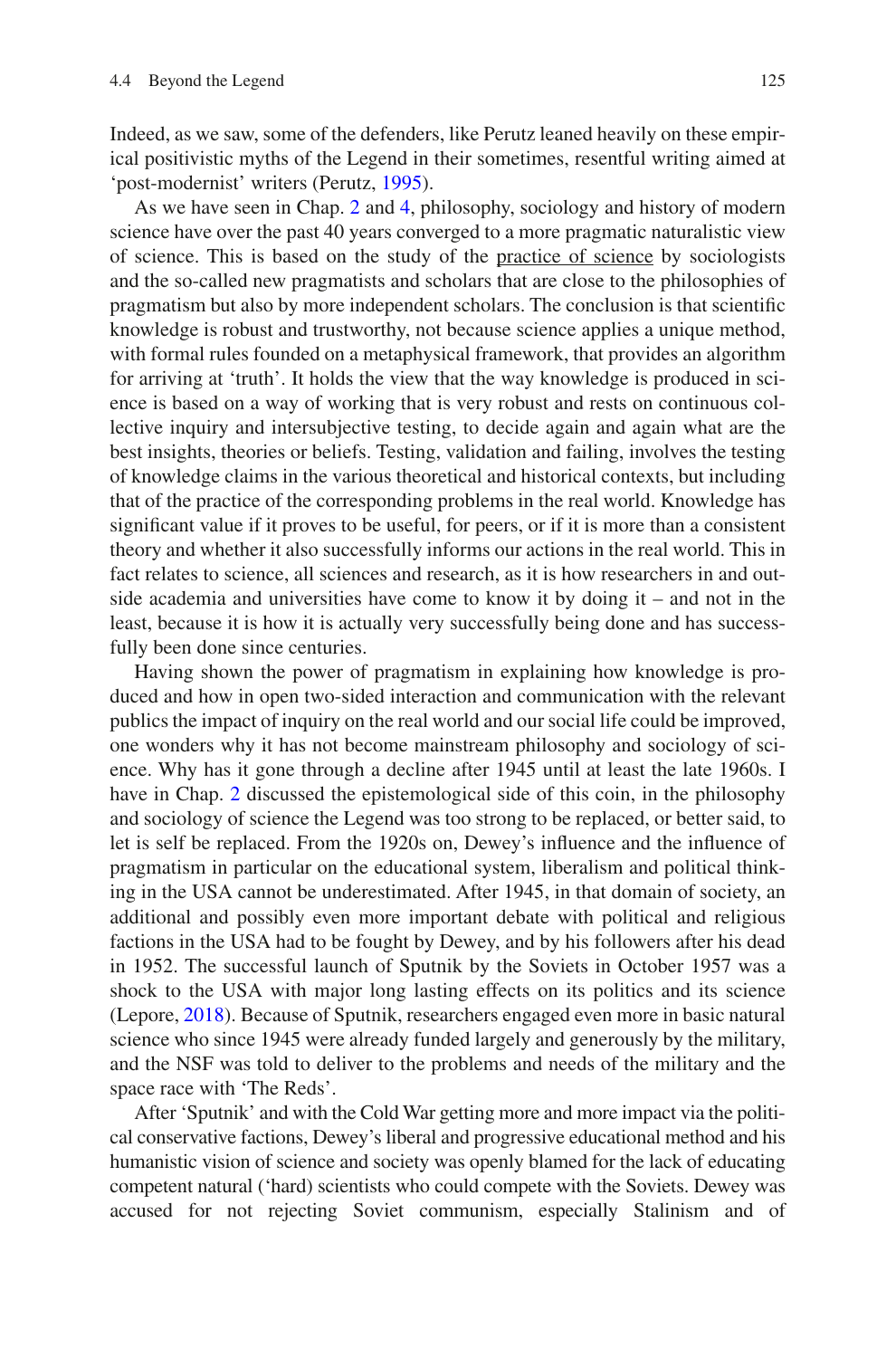Indeed, as we saw, some of the defenders, like Perutz leaned heavily on these empirical positivistic myths of the Legend in their sometimes, resentful writing aimed at 'post-modernist' writers (Perutz, [1995](#page-18-22)).

As we have seen in Chap. [2](https://doi.org/10.1007/978-94-024-2115-6_2) and [4](https://doi.org/10.1007/978-94-024-2115-6_4), philosophy, sociology and history of modern science have over the past 40 years converged to a more pragmatic naturalistic view of science. This is based on the study of the practice of science by sociologists and the so-called new pragmatists and scholars that are close to the philosophies of pragmatism but also by more independent scholars. The conclusion is that scientifc knowledge is robust and trustworthy, not because science applies a unique method, with formal rules founded on a metaphysical framework, that provides an algorithm for arriving at 'truth'. It holds the view that the way knowledge is produced in science is based on a way of working that is very robust and rests on continuous collective inquiry and intersubjective testing, to decide again and again what are the best insights, theories or beliefs. Testing, validation and failing, involves the testing of knowledge claims in the various theoretical and historical contexts, but including that of the practice of the corresponding problems in the real world. Knowledge has signifcant value if it proves to be useful, for peers, or if it is more than a consistent theory and whether it also successfully informs our actions in the real world. This in fact relates to science, all sciences and research, as it is how researchers in and outside academia and universities have come to know it by doing it – and not in the least, because it is how it is actually very successfully being done and has successfully been done since centuries.

Having shown the power of pragmatism in explaining how knowledge is produced and how in open two-sided interaction and communication with the relevant publics the impact of inquiry on the real world and our social life could be improved, one wonders why it has not become mainstream philosophy and sociology of science. Why has it gone through a decline after 1945 until at least the late 1960s. I have in Chap. [2](https://doi.org/10.1007/978-94-024-2115-6_2) discussed the epistemological side of this coin, in the philosophy and sociology of science the Legend was too strong to be replaced, or better said, to let is self be replaced. From the 1920s on, Dewey's infuence and the infuence of pragmatism in particular on the educational system, liberalism and political thinking in the USA cannot be underestimated. After 1945, in that domain of society, an additional and possibly even more important debate with political and religious factions in the USA had to be fought by Dewey, and by his followers after his dead in 1952. The successful launch of Sputnik by the Soviets in October 1957 was a shock to the USA with major long lasting effects on its politics and its science (Lepore, [2018](#page-18-23)). Because of Sputnik, researchers engaged even more in basic natural science who since 1945 were already funded largely and generously by the military, and the NSF was told to deliver to the problems and needs of the military and the space race with 'The Reds'.

After 'Sputnik' and with the Cold War getting more and more impact via the political conservative factions, Dewey's liberal and progressive educational method and his humanistic vision of science and society was openly blamed for the lack of educating competent natural ('hard) scientists who could compete with the Soviets. Dewey was accused for not rejecting Soviet communism, especially Stalinism and of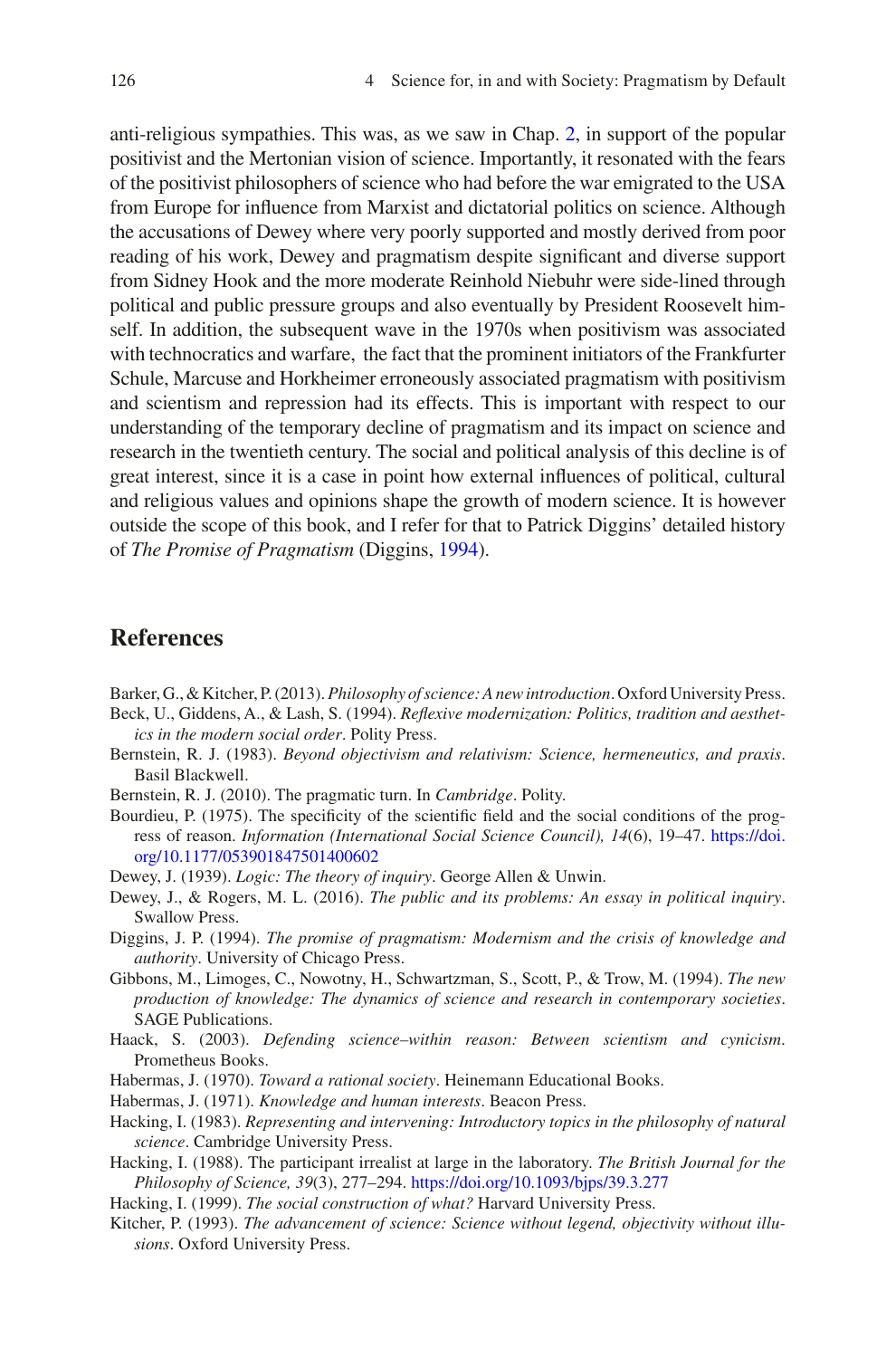anti-religious sympathies. This was, as we saw in Chap. [2](https://doi.org/10.1007/978-94-024-2115-6_2), in support of the popular positivist and the Mertonian vision of science. Importantly, it resonated with the fears of the positivist philosophers of science who had before the war emigrated to the USA from Europe for infuence from Marxist and dictatorial politics on science. Although the accusations of Dewey where very poorly supported and mostly derived from poor reading of his work, Dewey and pragmatism despite signifcant and diverse support from Sidney Hook and the more moderate Reinhold Niebuhr were side-lined through political and public pressure groups and also eventually by President Roosevelt himself. In addition, the subsequent wave in the 1970s when positivism was associated with technocratics and warfare, the fact that the prominent initiators of the Frankfurter Schule, Marcuse and Horkheimer erroneously associated pragmatism with positivism and scientism and repression had its effects. This is important with respect to our understanding of the temporary decline of pragmatism and its impact on science and research in the twentieth century. The social and political analysis of this decline is of great interest, since it is a case in point how external infuences of political, cultural and religious values and opinions shape the growth of modern science. It is however outside the scope of this book, and I refer for that to Patrick Diggins' detailed history of *The Promise of Pragmatism* (Diggins, [1994\)](#page-17-3).

### **References**

<span id="page-17-4"></span>Barker, G., & Kitcher, P. (2013). *Philosophy of science: A new introduction*. Oxford University Press.

- <span id="page-17-2"></span>Beck, U., Giddens, A., & Lash, S. (1994). *Refexive modernization: Politics, tradition and aesthetics in the modern social order*. Polity Press.
- <span id="page-17-5"></span>Bernstein, R. J. (1983). *Beyond objectivism and relativism: Science, hermeneutics, and praxis*. Basil Blackwell.
- <span id="page-17-6"></span>Bernstein, R. J. (2010). The pragmatic turn. In *Cambridge*. Polity.
- <span id="page-17-11"></span>Bourdieu, P. (1975). The specifcity of the scientifc feld and the social conditions of the progress of reason. *Information (International Social Science Council), 14*(6), 19–47. [https://doi.](https://doi.org/10.1177/053901847501400602) [org/10.1177/053901847501400602](https://doi.org/10.1177/053901847501400602)
- <span id="page-17-10"></span>Dewey, J. (1939). *Logic: The theory of inquiry*. George Allen & Unwin.
- <span id="page-17-1"></span>Dewey, J., & Rogers, M. L. (2016). *The public and its problems: An essay in political inquiry*. Swallow Press.
- <span id="page-17-3"></span>Diggins, J. P. (1994). *The promise of pragmatism: Modernism and the crisis of knowledge and authority*. University of Chicago Press.
- <span id="page-17-0"></span>Gibbons, M., Limoges, C., Nowotny, H., Schwartzman, S., Scott, P., & Trow, M. (1994). *The new production of knowledge: The dynamics of science and research in contemporary societies*. SAGE Publications.
- <span id="page-17-15"></span>Haack, S. (2003). *Defending science–within reason: Between scientism and cynicism*. Prometheus Books.
- <span id="page-17-7"></span>Habermas, J. (1970). *Toward a rational society*. Heinemann Educational Books.
- <span id="page-17-8"></span>Habermas, J. (1971). *Knowledge and human interests*. Beacon Press.
- <span id="page-17-9"></span>Hacking, I. (1983). *Representing and intervening: Introductory topics in the philosophy of natural science*. Cambridge University Press.
- <span id="page-17-13"></span>Hacking, I. (1988). The participant irrealist at large in the laboratory. *The British Journal for the Philosophy of Science, 39*(3), 277–294. <https://doi.org/10.1093/bjps/39.3.277>
- <span id="page-17-14"></span>Hacking, I. (1999). *The social construction of what?* Harvard University Press.
- <span id="page-17-12"></span>Kitcher, P. (1993). *The advancement of science: Science without legend, objectivity without illusions*. Oxford University Press.